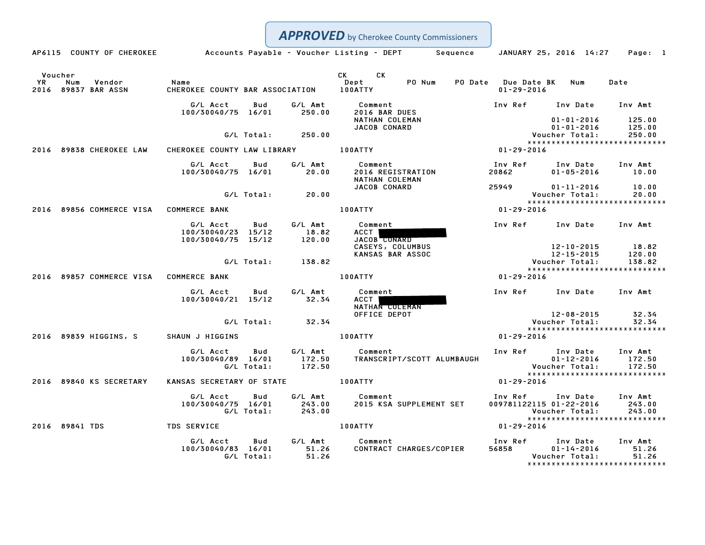|                                                       |                                                      |                                              | <b>APPROVED</b> by Cherokee County Commissioners                                                                                                                                                                                                       |                                                              |                                      |                                                                                                        |
|-------------------------------------------------------|------------------------------------------------------|----------------------------------------------|--------------------------------------------------------------------------------------------------------------------------------------------------------------------------------------------------------------------------------------------------------|--------------------------------------------------------------|--------------------------------------|--------------------------------------------------------------------------------------------------------|
|                                                       |                                                      |                                              | AP6115 COUNTY OF CHEROKEE Accounts Payable - Voucher Listing - DEPT Sequence JANUARY 25, 2016 14:27 Page: 1                                                                                                                                            |                                                              |                                      |                                                                                                        |
| Voucher<br>YR<br>Num<br>Vendor<br>2016 89837 BAR ASSN | Name<br>CHEROKEE COUNTY BAR ASSOCIATION 100ATTY      |                                              | CK<br>CK the control of the control of the control of the control of the control of the control of the control of the control of the control of the control of the control of the control of the control of the control of the contr<br>PO Num<br>Dept | PO Date Due Date BK Num<br>$01 - 29 - 2016$                  |                                      | Date                                                                                                   |
|                                                       | G/L Acct<br>100/30040/75 16/01 250.00                | G/L Amt<br>Bud                               | Comment<br>2016 BAR DUES<br>NATHAN COLEMAN<br><b>JACOB CONARD</b>                                                                                                                                                                                      | Inv Ref Inv Date                                             | $01 - 01 - 2016$<br>$01 - 01 - 2016$ | Inv Amt<br>125.00<br>125.00                                                                            |
|                                                       |                                                      | G/L Total: 250.00                            |                                                                                                                                                                                                                                                        |                                                              | Voucher Total:                       | 250.00<br>*****************************                                                                |
| 2016 89838 CHEROKEE LAW                               | CHEROKEE COUNTY LAW LIBRARY 100ATTY                  |                                              | $01 - 29 - 2016$                                                                                                                                                                                                                                       |                                                              |                                      |                                                                                                        |
|                                                       | G/L Acct Bud<br>100/30040/75 16/01 20.00             | G/L Amt                                      | Comment<br>2016 REGISTRATION<br>NATHAN COLEMAN                                                                                                                                                                                                         | Inv Ref Inv Date Inv Amt<br>20862 20                         | $01 - 05 - 2016$                     | 10.00                                                                                                  |
|                                                       | G/L Total:                                           | 20.00                                        | JACOB CONARD                                                                                                                                                                                                                                           | 25949                                                        | $01 - 11 - 2016$<br>Voucher Total:   | 10.00<br>20.00<br>*****************************                                                        |
| 2016 89856 COMMERCE VISA COMMERCE BANK                |                                                      |                                              | <b>100ATTY</b>                                                                                                                                                                                                                                         | 01-29-2016                                                   |                                      |                                                                                                        |
|                                                       | G/L Acct<br>100/30040/23 15/12<br>100/30040/75 15/12 | G/L Amt<br>Bud<br>18.82<br>120.00            | Comment<br>ACCT  <br>JACOB CONARD<br>CASEYS, COLUMBUS                                                                                                                                                                                                  | <b>Inv Ref</b>                                               | Inv Date Inv Amt                     | 18.82                                                                                                  |
|                                                       |                                                      | G/L Total: 138.82                            | <b>KANSAS BAR ASSOC</b>                                                                                                                                                                                                                                | 12-10-2015<br>12-15-2015<br>:Voucher Total                   |                                      | 120.00<br>138.82<br>*****************************                                                      |
| 2016 89857 COMMERCE VISA COMMERCE BANK                |                                                      |                                              | <b>100ATTY</b>                                                                                                                                                                                                                                         | 01-29-2016                                                   |                                      |                                                                                                        |
|                                                       | G/L Acct<br>100/30040/21 15/12                       | G/L Amt<br>Bud<br>32.34                      | Comment<br>ACCT I<br>NATHAN COLEMAN                                                                                                                                                                                                                    | Inv Ref Inv Date Inv Amt                                     |                                      |                                                                                                        |
|                                                       | G/L Total:                                           | 32.34                                        | OFFICE DEPOT                                                                                                                                                                                                                                           |                                                              | 12-08-2015<br>Voucher Total:         | 32.34<br>32.34                                                                                         |
| 2016 89839 HIGGINS, S                                 | SHAUN J HIGGINS                                      |                                              | <b>100ATTY</b>                                                                                                                                                                                                                                         | $01 - 29 - 2016$                                             |                                      | *****************************                                                                          |
|                                                       | G/L Acct<br>100/30040/89 16/01<br>G/L Total:         | G/L Amt<br>Bud<br>172.50<br>172.50           | Comment<br>TRANSCRIPT/SCOTT ALUMBAUGH                                                                                                                                                                                                                  | Inv Ref Inv Date                                             |                                      | Inv Amt<br>1.17 1.0.<br>01-12-2016 172.50<br>Voucher Total: 172.50<br>******************************** |
| 2016 89840 KS SECRETARY                               | KANSAS SECRETARY OF STATE 100ATTY                    |                                              |                                                                                                                                                                                                                                                        | 01-29-2016                                                   |                                      |                                                                                                        |
|                                                       | G/L Acct<br>100/30040/75 16/01<br>G/L Total:         | G/L Amt<br>Bud<br>243.00<br>243.00<br>243.00 | Comment<br>2015 KSA SUPPLEMENT SET                                                                                                                                                                                                                     | Inv Ref      Inv Date     Inv Amt<br>009781122115 01-22-2016 | Voucher Total:                       | 243.00<br>243.00<br>*****************************                                                      |
| 2016 89841 TDS                                        | TDS SERVICE                                          |                                              | <b>100ATTY</b>                                                                                                                                                                                                                                         | $01 - 29 - 2016$                                             |                                      |                                                                                                        |
|                                                       | G/L Acct<br>100/30040/83 16/01<br>G/L Total:         | Bud<br>51.26<br>51.26                        | G/L Amt Comment<br>CONTRACT CHARGES/COPIER                                                                                                                                                                                                             | Inv Ref      Inv Date<br>56858                               | $01 - 14 - 2016$<br>Voucher Total:   | Inv Amt<br>51.26<br>51.26<br>*****************************                                             |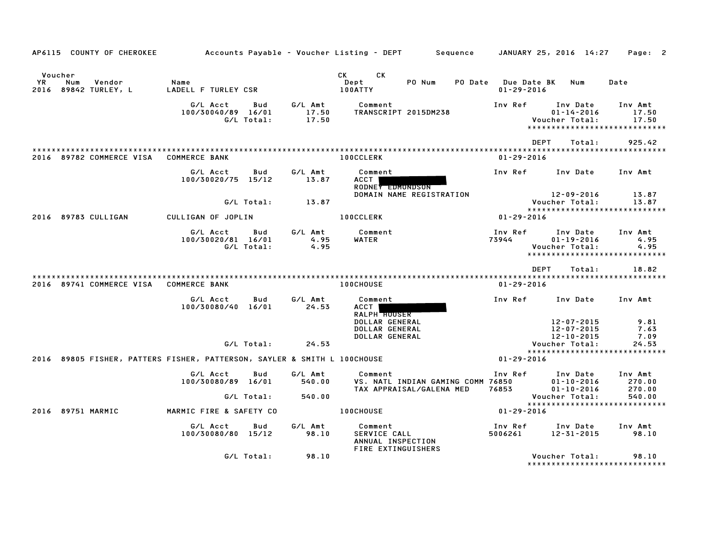| AP6115 COUNTY OF CHEROKEE                              |                                                                          |                                |                   |                           | Accounts Payable – Voucher Listing – DEPT         Sequence |                                                               |                |                                        | JANUARY 25, 2016 14:27                                                          |        | Page: 2                     |  |
|--------------------------------------------------------|--------------------------------------------------------------------------|--------------------------------|-------------------|---------------------------|------------------------------------------------------------|---------------------------------------------------------------|----------------|----------------------------------------|---------------------------------------------------------------------------------|--------|-----------------------------|--|
| Voucher<br>YR<br>Vendor<br>Num<br>2016 89842 TURLEY, L | Name                                                                     | LADELL F TURLEY CSR            |                   |                           | CK<br><b>CK</b><br>Dept<br>100ATTY                         | PO Num                                                        | <b>PO Date</b> | <b>Due Date BK</b><br>$01 - 29 - 2016$ | Num                                                                             |        | Date                        |  |
|                                                        |                                                                          | G/L Acct<br>100/30040/89 16/01 | Bud<br>G/L Total: | G/L Amt<br>17.50<br>17.50 | Comment                                                    | TRANSCRIPT 2015DM238                                          |                | Inv Ref                                | Inv Date<br>$01 - 14 - 2016$<br>Voucher Total:<br>***************************** |        | Inv Amt<br>17.50<br>17.50   |  |
|                                                        |                                                                          |                                |                   |                           |                                                            |                                                               |                |                                        | <b>DEPT</b>                                                                     | Total: | 925.42                      |  |
| 2016 89782 COMMERCE VISA                               | <b>COMMERCE BANK</b>                                                     |                                |                   |                           | <b>100CCLERK</b>                                           |                                                               |                | $01 - 29 - 2016$                       |                                                                                 |        |                             |  |
|                                                        |                                                                          | G/L Acct<br>100/30020/75 15/12 | Bud               | G/L Amt<br>13.87          | Comment<br>ACCT<br>RODNEY EDMONDSON                        |                                                               |                | Inv Ref                                | Inv Date                                                                        |        | Inv Amt                     |  |
|                                                        |                                                                          |                                | G/L Total:        | 13.87                     |                                                            | DOMAIN NAME REGISTRATION                                      |                |                                        | $12 - 09 - 2016$<br>Voucher Total:                                              |        | 13.87<br>13.87              |  |
| 2016 89783 CULLIGAN                                    |                                                                          | CULLIGAN OF JOPLIN             |                   |                           | <b>100CCLERK</b>                                           |                                                               |                | $01 - 29 - 2016$                       | *****************************                                                   |        |                             |  |
|                                                        |                                                                          | G/L Acct<br>100/30020/81 16/01 | Bud<br>G/L Total: | G/L Amt<br>4.95<br>4.95   | Comment<br>WATER                                           |                                                               |                | Inv Ref<br>73944                       | Inv Date<br>$01 - 19 - 2016$<br>Voucher Total:<br>***************************** |        | Inv Amt<br>4.95<br>4.95     |  |
|                                                        |                                                                          |                                |                   |                           |                                                            |                                                               |                |                                        | <b>DEPT</b>                                                                     | Total: | 18.82                       |  |
| 2016 89741 COMMERCE VISA                               | <b>COMMERCE BANK</b>                                                     |                                |                   |                           | <b>100CHOUSE</b>                                           |                                                               |                | $01 - 29 - 2016$                       |                                                                                 |        |                             |  |
|                                                        |                                                                          | G/L Acct<br>100/30080/40 16/01 | Bud               | G/L Amt<br>24.53          | Comment<br>ACCT  <br><b>RALPH HOUSER</b>                   |                                                               |                | Inv Ref                                | Inv Date                                                                        |        | Inv Amt                     |  |
|                                                        |                                                                          |                                |                   |                           | DOLLAR GENERAL<br>DOLLAR GENERAL                           |                                                               |                |                                        | 12-07-2015<br>12-07-2015                                                        |        | 9.81<br>7.63<br>7.09        |  |
|                                                        |                                                                          |                                | G/L Total:        | 24.53                     | DOLLAR GENERAL                                             |                                                               |                |                                        | 12-10-2015<br>Voucher Total:                                                    |        | 24.53                       |  |
|                                                        | 2016 89805 FISHER, PATTERS FISHER, PATTERSON, SAYLER & SMITH L 100CHOUSE |                                |                   |                           |                                                            |                                                               |                | $01 - 29 - 2016$                       | *****************************                                                   |        |                             |  |
|                                                        |                                                                          | G/L Acct<br>100/30080/89 16/01 | Bud               | G/L Amt<br>540.00         | Comment                                                    | VS. NATL INDIAN GAMING COMM 76850<br>TAX APPRAISAL/GALENA MED |                | Inv Ref<br>76853                       | Inv Date<br>$01 - 10 - 2016$<br>$01 - 10 - 2016$                                |        | Inv Amt<br>270.00<br>270.00 |  |
|                                                        |                                                                          |                                | G/L Total:        | 540.00                    |                                                            |                                                               |                |                                        | Voucher Total:                                                                  |        | 540.00                      |  |
| 2016 89751 MARMIC                                      |                                                                          | MARMIC FIRE & SAFETY CO        |                   |                           | <b>100CHOUSE</b>                                           |                                                               |                | $01 - 29 - 2016$                       | *****************************                                                   |        |                             |  |
|                                                        |                                                                          | G/L Acct<br>100/30080/80 15/12 | Bud               | G/L Amt<br>98.10          | Comment<br>SERVICE CALL<br>ANNUAL INSPECTION               |                                                               |                | Inv Ref<br>5006261                     | Inv Date<br>12-31-2015                                                          |        | Inv Amt<br>98.10            |  |
|                                                        |                                                                          |                                | G/L Total:        | 98.10                     | FIRE EXTINGUISHERS                                         |                                                               |                |                                        | Voucher Total:                                                                  |        | 98.10                       |  |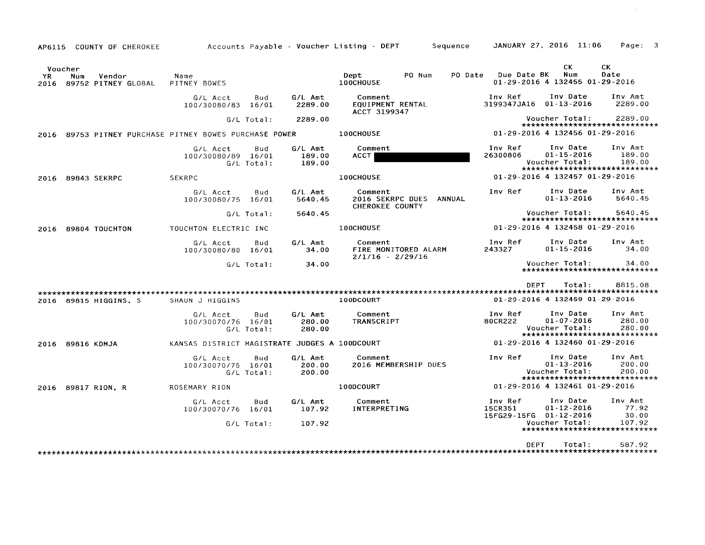| AP6115      | COUNTY OF CHEROKEE                                     |                                               |                            |                             | Accounts Payable - Voucher Listing - DEPT<br>Sequence                  |                                              | JANUARY 27, 2016 11:06                                                          | Page:<br>3                  |
|-------------|--------------------------------------------------------|-----------------------------------------------|----------------------------|-----------------------------|------------------------------------------------------------------------|----------------------------------------------|---------------------------------------------------------------------------------|-----------------------------|
| YR.<br>2016 | Voucher<br>Num<br>Vendor<br>89752 PITNEY GLOBAL        | Name<br>PITNEY BOWES                          |                            |                             | PO Num<br>PO Date<br>Dept<br>100CHOUSE                                 | Due Date BK                                  | CK<br>Num<br>01-29-2016 4 132455 01-29-2016                                     | CK.<br>Date                 |
|             |                                                        | G/L Acct<br>100/30080/83 16/01                | Bud                        | G/L Amt<br>2289.00          | Comment<br>EQUIPMENT RENTAL<br>ACCT 3199347                            | Inv Ref<br>3199347JA16 01-13-2016            | Inv Date                                                                        | Inv Amt<br>2289.00          |
|             |                                                        |                                               | G/L Total:                 | 2289.00                     |                                                                        |                                              | Voucher Total:<br>*****************************                                 | 2289.00                     |
|             | 2016 89753 PITNEY PURCHASE PITNEY BOWES PURCHASE POWER |                                               |                            |                             | <b>100CHOUSE</b>                                                       |                                              | 01-29-2016 4 132456 01-29-2016                                                  |                             |
|             |                                                        | G/L Acct<br>100/30080/89                      | Bud<br>16/01<br>G/L Total: | G/L Amt<br>189.00<br>189.00 | Comment<br>ACCT                                                        | Inv Ref<br>26300806                          | Inv Date<br>$01 - 15 - 2016$<br>Voucher Total:<br>***************************** | Inv Amt<br>189.00<br>189.00 |
| 2016        | 89843 SEKRPC                                           | <b>SEKRPC</b>                                 |                            |                             | 100CHOUSE                                                              |                                              | 01-29-2016 4 132457 01-29-2016                                                  |                             |
|             |                                                        | G/L Acct<br>100/30080/75 16/01                | Bud                        | G/L Amt<br>5640.45          | Comment<br><b>2016 SEKRPC DUES</b><br>ANNUAL<br><b>CHEROKEE COUNTY</b> | Inv Ref                                      | Inv Date<br>$01 - 13 - 2016$                                                    | Inv Amt<br>5640.45          |
|             |                                                        |                                               | $G/L$ Total:               | 5640.45                     |                                                                        |                                              | Voucher Total:<br>*****************************                                 | 5640.45                     |
|             | 2016 89804 TOUCHTON                                    | TOUCHTON ELECTRIC INC                         |                            |                             | 100CHOUSE                                                              |                                              | 01-29-2016 4 132458 01-29-2016                                                  |                             |
|             |                                                        | G/L Acct<br>100/30080/80 16/01                | Bud                        | G/L Amt<br>34.00            | Comment<br>FIRE MONITORED ALARM<br>$2/1/16 - 2/29/16$                  | Inv Ref<br>243327                            | Inv Date<br>$01 - 15 - 2016$                                                    | Inv Amt<br>34.00            |
|             |                                                        |                                               | G/L Total:                 | 34.00                       |                                                                        |                                              | Voucher Total:<br>*****************************                                 | 34.00                       |
|             |                                                        |                                               |                            |                             |                                                                        | <b>DEPT</b>                                  | Total:                                                                          | 8815.08                     |
|             | 2016 89815 HIGGINS, S                                  | SHAUN J HIGGINS                               |                            |                             | 100DCOURT                                                              |                                              | 01-29-2016 4 132459 01-29-2016                                                  |                             |
|             |                                                        | G/L Acct<br>100/30070/76 16/01                | Bud<br>G/L Total:          | G/L Amt<br>280.00<br>280.00 | Comment<br><b>TRANSCRIPT</b>                                           | Inv Ref<br>80CR222                           | Inv Date<br>$01 - 07 - 2016$<br>Voucher Total:<br>***************************** | Inv Amt<br>280.00<br>280.00 |
| 2016        | 89816 KDMJA                                            | KANSAS DISTRICT MAGISTRATE JUDGES A 100DCOURT |                            |                             |                                                                        |                                              | $01 - 29 - 2016$ 4 132460 01-29-2016                                            |                             |
|             |                                                        | G/L Acct<br>100/30070/75                      | Bud<br>16/01<br>G/L Total: | G/L Amt<br>200.00<br>200.00 | Comment<br>2016 MEMBERSHIP DUES                                        | Inv Ref                                      | Inv Date<br>$01 - 13 - 2016$<br>Voucher Total:<br>***************************** | Inv Amt<br>200.00<br>200.00 |
| 2016        | 89817 RION. R                                          | ROSEMARY RION                                 |                            |                             | 100DCOURT                                                              |                                              | $01 - 29 - 2016$ 4 132461 01-29-2016                                            |                             |
|             |                                                        | G/L Acct<br>100/30070/76 16/01                | Bud                        | G/L Amt<br>107.92           | Comment<br>INTERPRETING                                                | Inv Ref<br>15CR351<br>15FG29-15FG 01-12-2016 | Inv Date<br>$01 - 12 - 2016$                                                    | Inv Amt<br>77.92<br>30.00   |
|             |                                                        |                                               | G/L Total:                 | 107.92                      |                                                                        |                                              | Voucher Total:<br>******************************                                | 107.92                      |
|             |                                                        |                                               |                            |                             |                                                                        | <b>DEPT</b>                                  | Total:                                                                          | 587.92                      |

 $\sim 10^{11}$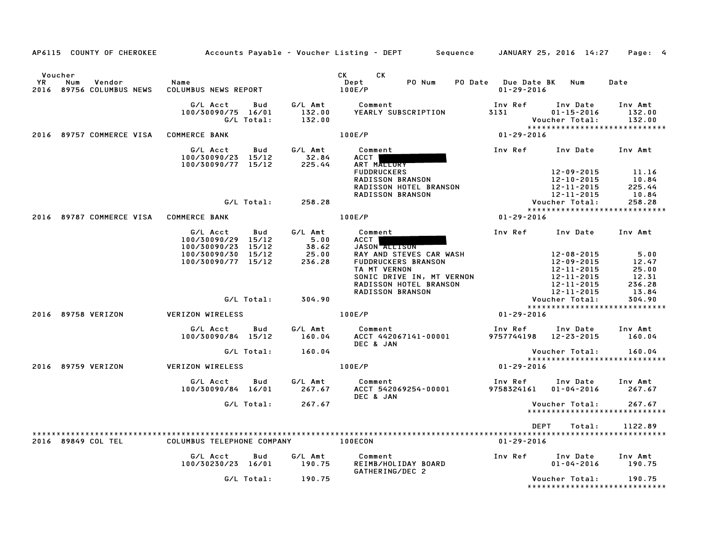| AP6115 COUNTY OF CHEROKEE                                         |                                                                                      |                                    | Accounts Payable – Voucher Listing – DEPT         Sequence     JANUARY 25, 2016  14:27                                                                                             |                                         |                                                                                        | Page: 4                                                      |
|-------------------------------------------------------------------|--------------------------------------------------------------------------------------|------------------------------------|------------------------------------------------------------------------------------------------------------------------------------------------------------------------------------|-----------------------------------------|----------------------------------------------------------------------------------------|--------------------------------------------------------------|
| Voucher<br><b>YR</b><br>Vendor<br>Num<br>2016 89756 COLUMBUS NEWS | Name<br>COLUMBUS NEWS REPORT                                                         |                                    | CK CK<br>PO Num<br>Dept<br>100E/P                                                                                                                                                  | PO Date Due Date BK<br>$01 - 29 - 2016$ | Num                                                                                    | Date                                                         |
|                                                                   | G/L Acct<br>100/30090/75 16/01<br>G/L Total:                                         | Bud<br>132.00<br>132.00            | G/L Amt Comment<br>YEARLY SUBSCRIPTION                                                                                                                                             | Inv Ref<br>3131                         | Inv Date<br>$01 - 15 - 2016$<br>Voucher Total:                                         | Inv Amt<br>132.00<br>132.00<br>***************************** |
| 2016 89757 COMMERCE VISA COMMERCE BANK                            |                                                                                      |                                    | 100E/P                                                                                                                                                                             | $01 - 29 - 2016$                        |                                                                                        |                                                              |
|                                                                   | G/L Acct<br>100/30090/23 15/12<br>100/30090/77 15/12                                 | G/L Amt<br>Bud<br>32.84<br>225.44  | Comment<br>ACCT Next Section 1989<br>ART MALLURY<br><b>FUDDRUCKERS</b><br>RADISSON BRANSON<br>RADISSON HOTEL BRANSON                                                               | Inv Ref Inv Date Inv Amt                | 12-09-2015<br>12-10-2015<br>12-11-2015                                                 | 11.16<br>10.84<br>225.44                                     |
|                                                                   |                                                                                      | G/L Total:<br>258.28               | <b>RADISSON BRANSON</b>                                                                                                                                                            |                                         | 12-11-2015<br>Voucher Total:                                                           | 10.84<br>258.28                                              |
| 2016 89787 COMMERCE VISA COMMERCE BANK                            |                                                                                      |                                    | 100E/P                                                                                                                                                                             | 01-29-2016                              |                                                                                        |                                                              |
|                                                                   | G/L Acct                                                                             | G/L Amt<br>Bud                     | Comment                                                                                                                                                                            | Inv Ref Inv Date Inv Amt                |                                                                                        |                                                              |
|                                                                   | 100/30090/29 15/12<br>100/30090/23 15/12<br>100/30090/30 15/12<br>100/30090/77 15/12 | 5.00<br>$38.62$<br>25.00<br>236.28 | ACCT  <br>JASON ALLISON<br>RAY AND STEVES CAR WASH<br><b>FUDDRUCKERS BRANSON</b><br>TA MT VERNON<br>SONIC DRIVE IN, MT VERNON<br>RADISSON HOTEL BRANSON<br><b>RADISSON BRANSON</b> |                                         | 12-08-2015<br>12-09-2015<br>12-11-2015<br>12-11-2015<br>12-11-2015<br>$12 - 11 - 2015$ | 5.00<br>12.47<br>25.00<br>12.31<br>236.28<br>13.84           |
|                                                                   |                                                                                      | G/L Total:<br>304.90               |                                                                                                                                                                                    |                                         | Voucher Total:                                                                         | 304.90<br>*****************************                      |
| 2016 89758 VERIZON                                                | VERIZON WIRELESS                                                                     |                                    | 100E/P                                                                                                                                                                             | 01-29-2016                              |                                                                                        |                                                              |
|                                                                   | G/L Acct<br>100/30090/84 15/12                                                       | G/L Amt<br>Bud<br>160.04           | Comment<br>ACCT 442067141-00001<br>DEC & JAN                                                                                                                                       | Inv Ref<br>9757744198 12-23-2015        | Inv Date Inv Amt                                                                       | 160.04                                                       |
|                                                                   | G/L Total:                                                                           | 160.04                             |                                                                                                                                                                                    |                                         | Voucher Total:                                                                         | 160.04                                                       |
| 2016 89759 VERIZON                                                | VERIZON WIRELESS                                                                     |                                    | 100E/P                                                                                                                                                                             | $01 - 29 - 2016$                        |                                                                                        | *****************************                                |
|                                                                   | G/L Acct<br>100/30090/84 16/01                                                       | G/L Amt<br><b>Bud</b><br>267.67    | Comment<br>ACCT 542069254-00001<br>DEC & JAN                                                                                                                                       | Inv Ref Inv Date<br>9758324161          | $01 - 04 - 2016$                                                                       | Inv Amt<br>267.67                                            |
|                                                                   |                                                                                      | G/L Total: 267.67                  |                                                                                                                                                                                    |                                         | Voucher Total:                                                                         | 267.67<br>*****************************                      |
| 2016 89849 COL TEL                                                | COLUMBUS TELEPHONE COMPANY                                                           |                                    | 100ECON                                                                                                                                                                            | DEPT<br>01-29-2016                      | Total:                                                                                 | 1122.89                                                      |
|                                                                   | G/L Acct<br>100/30230/23 16/01                                                       | Bud<br>G/L Amt<br>190.75           | Comment<br>REIMB/HOLIDAY BOARD                                                                                                                                                     | Inv Ref                                 | Inv Date<br>$01 - 04 - 2016$                                                           | Inv Amt<br>190.75                                            |
|                                                                   |                                                                                      | G/L Total: 190.75                  | GATHERING/DEC 2                                                                                                                                                                    |                                         | Voucher Total:                                                                         | 190.75<br>*****************************                      |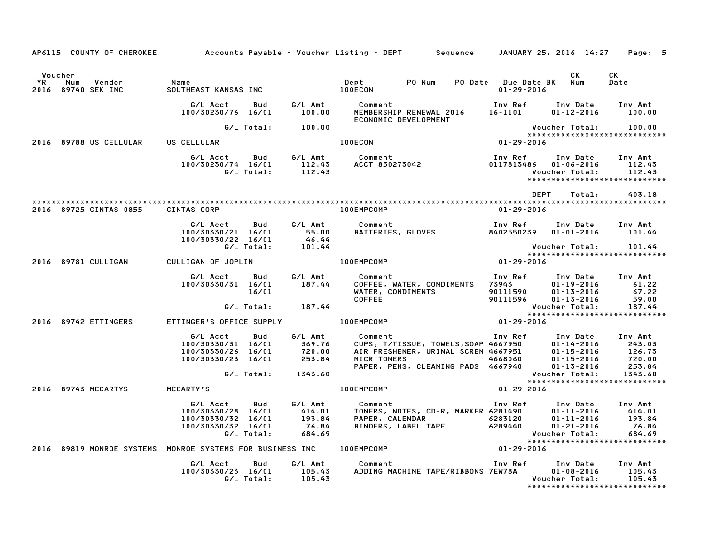|           | AP6115 COUNTY OF CHEROKEE                                 |                                                                            |                          |                                                  | Accounts Payable – Voucher Listing – DEPT         Sequence     JANUARY 25, 2016  14:27                                                                         |                                             |                                                                                                            | Page: 5                                                                          |
|-----------|-----------------------------------------------------------|----------------------------------------------------------------------------|--------------------------|--------------------------------------------------|----------------------------------------------------------------------------------------------------------------------------------------------------------------|---------------------------------------------|------------------------------------------------------------------------------------------------------------|----------------------------------------------------------------------------------|
| Voucher   |                                                           |                                                                            |                          |                                                  |                                                                                                                                                                |                                             | CK                                                                                                         | CK                                                                               |
| <b>YR</b> | Num<br>Vendor<br>2016 89740 SEK INC                       | Name<br>SOUTHEAST KANSAS INC                                               |                          |                                                  | Dept PO Num<br><b>100ECON</b>                                                                                                                                  | PO Date Due Date BK Num<br>$01 - 29 - 2016$ |                                                                                                            | Date                                                                             |
|           |                                                           | G/L Acct<br>100/30230/76 16/01                                             | Bud                      | G/L Amt<br>100.00                                | Comment<br>MEMBERSHIP RENEWAL 2016<br>ECONOMIC DEVELOPMENT                                                                                                     | Inv Ref<br>16-1101                          | Inv Date<br>$01 - 12 - 2016$                                                                               | Inv Amt<br>100.00                                                                |
|           |                                                           |                                                                            | G/L Total:               | 100.00                                           |                                                                                                                                                                |                                             | Voucher Total:                                                                                             | 100.00                                                                           |
|           | 2016 89788 US CELLULAR                                    | US CELLULAR                                                                |                          |                                                  | 100ECON                                                                                                                                                        | $01 - 29 - 2016$                            |                                                                                                            | *****************************                                                    |
|           |                                                           | G/L Acct<br>100/30230/74 16/01                                             | <b>Bud</b><br>G/L Total: | G/L Amt<br>112.43<br>112.43                      | Comment<br>Comment<br>ACCT 850273042                                                                                                                           | Inv Ref<br>0117813486 01-06-2016            | Inv Date<br>Voucher Total:                                                                                 | Inv Amt<br>112.43<br>112.43<br>*****************************                     |
|           |                                                           |                                                                            |                          |                                                  |                                                                                                                                                                | DEPT                                        | Total:                                                                                                     | 403.18                                                                           |
|           | 2016 89725 CINTAS 0855                                    | <b>CINTAS CORP</b>                                                         |                          |                                                  | 100EMPCOMP                                                                                                                                                     | $01 - 29 - 2016$                            |                                                                                                            |                                                                                  |
|           |                                                           | G/L Acct<br>100/30330/21 16/01<br>100/30330/22 16/01                       | Bud                      | 55.00<br>46.44                                   | G/L Amt Comment<br>BATTERIES, GLOVES                                                                                                                           | Inv Ref<br>8402550239                       | Inv Date<br>$01 - 01 - 2016$                                                                               | Inv Amt<br>101.44                                                                |
|           |                                                           |                                                                            | G/L Total:               | 101.44                                           |                                                                                                                                                                |                                             | Voucher Total:                                                                                             | 101.44<br>*****************************                                          |
|           | 2016 89781 CULLIGAN                                       | CULLIGAN OF JOPLIN                                                         |                          |                                                  | $01 - 29 - 2016$<br>100EMPCOMP                                                                                                                                 |                                             |                                                                                                            |                                                                                  |
|           |                                                           | G/L Acct<br>100/30330/31 16/01                                             | Bud<br>16/01             | G/L Amt<br>187.44                                | Comment<br>COFFEE, WATER, CONDIMENTS 73943<br>WATER, CONDIMENTS<br><b>COFFEE</b>                                                                               | Inv Ref<br>90111590<br>90111596             | Inv Date<br>$01 - 19 - 2016$<br>$01 - 13 - 2016$<br>$01 - 13 - 2016$                                       | Inv Amt<br>61.22<br>67.22<br>59.00                                               |
|           |                                                           |                                                                            | G/L Total:               | 187.44                                           |                                                                                                                                                                |                                             | Voucher Total:                                                                                             | 187.44                                                                           |
|           | 2016 89742 ETTINGERS                                      | ETTINGER'S OFFICE SUPPLY                                                   |                          |                                                  | $01 - 29 - 2016$<br>100EMPCOMP                                                                                                                                 |                                             |                                                                                                            | *****************************                                                    |
|           |                                                           | G/L Acct<br>100/30330/31 16/01<br>100/30330/26 16/01<br>100/30330/23 16/01 | Bud<br>G/L Total:        | G/L Amt<br>369.76<br>720.00<br>253.84<br>1343.60 | Comment<br>Comment<br>CUPS, T/TISSUE, TOWELS,SOAP 4667950<br>AIR FRESHENER, URINAL SCREN 4667951<br>אירים דחשבות 4668060<br>PAPER, PENS, CLEANING PADS 4667940 | Inv Ref                                     | Inv Date<br>$01 - 14 - 2016$<br>$01 - 15 - 2016$<br>$01 - 15 - 2016$<br>$01 - 13 - 2016$<br>Voucher Total: | Inv Amt<br>243.03<br>126.73<br>720.00<br>253.84<br>1343.60                       |
|           |                                                           |                                                                            |                          |                                                  |                                                                                                                                                                |                                             |                                                                                                            | *****************************                                                    |
|           | 2016 89743 MCCARTYS                                       | <b>MCCARTY'S</b>                                                           |                          |                                                  | 100EMPCOMP                                                                                                                                                     | 01-29-2016                                  |                                                                                                            |                                                                                  |
|           |                                                           | G/L Acct<br>100/30330/28 16/01<br>100/30330/32 16/01<br>100/30330/32 16/01 | Bud<br>G/L Total:        | G/L Amt<br>414.01<br>193.84<br>76.84<br>684.69   | Comment<br>TONERS, NOTES, CD-R, MARKER 6281490<br>PAPER, CALENDAR 6283120<br>PAPER, CALENDAR 6283120<br>BINDERS, LABEL TAPE 6289440                            | Inv Ref                                     | Inv Date<br>$01 - 11 - 2016$<br>$01 - 11 - 2016$<br>$01 - 21 - 2016$<br>Voucher Total:                     | Inv Amt<br>414.01<br>193.84<br>76.84<br>684.69<br>****************************** |
|           | 2016 89819 MONROE SYSTEMS MONROE SYSTEMS FOR BUSINESS INC |                                                                            |                          |                                                  | 100EMPCOMP                                                                                                                                                     | $01 - 29 - 2016$                            |                                                                                                            |                                                                                  |
|           |                                                           | G/L Acct<br>100/30330/23 16/01                                             | Bud<br>G/L Total:        | G/L Amt<br>105.43<br>105.43                      | Comment<br>ADDING MACHINE TAPE/RIBBONS 7EW78A                                                                                                                  |                                             | Inv Ref Inv Date<br>$01 - 08 - 2016$<br>Voucher Total:                                                     | Inv Amt<br>105.43<br>105.43                                                      |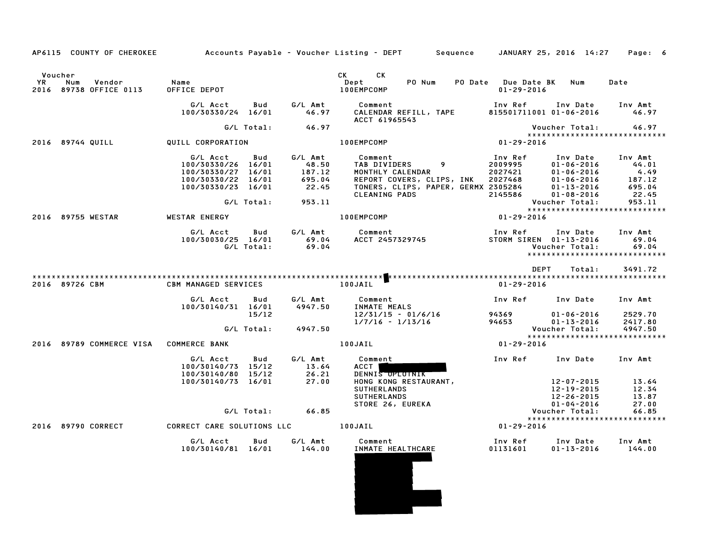| AP6115 COUNTY OF CHEROKEE                                |                                                                                                                       |                                                         | Accounts Payable – Voucher Listing – DEPT       Sequence                                                                                                                                                                                                             | JANUARY 25, 2016 14:27                                                                                                                                                                     | Page: 6                                                         |
|----------------------------------------------------------|-----------------------------------------------------------------------------------------------------------------------|---------------------------------------------------------|----------------------------------------------------------------------------------------------------------------------------------------------------------------------------------------------------------------------------------------------------------------------|--------------------------------------------------------------------------------------------------------------------------------------------------------------------------------------------|-----------------------------------------------------------------|
| Voucher<br>YR<br>Vendor<br>Num<br>2016 89738 OFFICE 0113 | Name<br>OFFICE DEPOT                                                                                                  |                                                         | CK and the set of the set of the set of the set of the set of the set of the set of the set of the set of the set of the set of the set of the set of the set of the set of the set of the set of the set of the set of the se<br>CK<br>PO Num<br>Dept<br>100EMPCOMP | PO Date Due Date BK<br>Num<br>$01 - 29 - 2016$                                                                                                                                             | Date                                                            |
|                                                          | G/L Acct<br>Bud<br>100/30330/24 16/01                                                                                 | G/L Amt<br>46.97                                        | Comment<br>CALENDAR REFILL, TAPE<br>ACCT 61965543                                                                                                                                                                                                                    | Inv Ref      Inv Date     Inv Amt<br>815501711001 01-06-2016                                                                                                                               | 46.97                                                           |
|                                                          | G/L Total:                                                                                                            | 46.97                                                   |                                                                                                                                                                                                                                                                      | Voucher Total:<br>******************************                                                                                                                                           | 46.97                                                           |
| 2016 89744 QUILL                                         | QUILL CORPORATION                                                                                                     |                                                         | 100EMPCOMP                                                                                                                                                                                                                                                           | $01 - 29 - 2016$                                                                                                                                                                           |                                                                 |
|                                                          | G/L Acct<br>Bud<br>100/30330/26 16/01<br>100/30330/27 16/01<br>100/30330/22 16/01<br>100/30330/23 16/01<br>G/L Total: | G/L Amt<br>48.50<br>187.12<br>695.04<br>22.45<br>953.11 | Comment<br>TAB DIVIDERS<br>9<br>MONTHLY CALENDAR<br>REPORT COVERS, CLIPS, INK<br>TONERS, CLIPS, PAPER, GERMX 2305284<br>CLEANING PADS                                                                                                                                | Inv Ref<br>Inv Date<br>2009995<br>2027421<br>2027468<br>2305284<br>2145586<br>$01 - 06 - 2016$<br>$01 - 06 - 2016$<br>$01 - 06 - 2016$<br>01-13-2016<br>$01 - 08 - 2016$<br>Voucher Total: | Inv Amt<br>44.01<br>4.49<br>187.12<br>695.04<br>22.45<br>953.11 |
|                                                          |                                                                                                                       |                                                         |                                                                                                                                                                                                                                                                      | *****************************                                                                                                                                                              |                                                                 |
| 2016 89755 WESTAR                                        | <b>WESTAR ENERGY</b><br>Bud<br>G/L Acct<br>100/30030/25 16/01<br>G/L Total:                                           | G/L Amt<br>69.04<br>69.04                               | 100EMPCOMP<br>Comment<br>ACCT 2457329745                                                                                                                                                                                                                             | $01 - 29 - 2016$<br>Inv Ref<br>STORM ^<br>Inv Date<br>STORM SIREN 01-13-2016<br>Voucher Total:<br>*****************************                                                            | Inv Amt<br>69.04<br>69.04                                       |
| 2016 89726 CBM                                           | <b>CBM MANAGED SERVICES</b>                                                                                           |                                                         | 100JAIL                                                                                                                                                                                                                                                              | DEPT<br>Total:<br>$01 - 29 - 2016$                                                                                                                                                         | 3491.72                                                         |
|                                                          | G/L Acct<br>Bud<br>100/30140/31 16/01<br>15/12                                                                        | G/L Amt<br>4947.50                                      | Comment<br>INMATE MEALS<br>12/31/15 - 01/6/16                                                                                                                                                                                                                        | Inv Ref      Inv Date<br>94369<br>$01 - 06 - 2016$                                                                                                                                         | Inv Amt<br>2529.70                                              |
|                                                          | G/L Total:                                                                                                            | 4947.50                                                 | $1/7/16 - 1/13/16$                                                                                                                                                                                                                                                   | 94653<br>$01 - 13 - 2016$<br>Voucher Total:                                                                                                                                                | 2417.80<br>4947.50                                              |
| 2016 89789 COMMERCE VISA                                 | <b>COMMERCE BANK</b>                                                                                                  |                                                         | 100JAIL                                                                                                                                                                                                                                                              | *****************************<br>$01 - 29 - 2016$                                                                                                                                          |                                                                 |
|                                                          | G/L Acct<br>Bud<br>100/30140/73 15/12<br>100/30140/80 15/12<br>100/30140/73 16/01                                     | G/L Amt<br>13.64<br>26.21<br>27.00                      | Comment<br>ACCT  <br>DENNIS OPLUINIK<br>HONG KONG RESTAURANT,<br><b>SUTHERLANDS</b><br>SUTHERLANDS<br>STORE 26, EUREKA                                                                                                                                               | Inv Ref<br>Inv Date<br>12-07-2015<br>12-19-2015<br>12-26-2015<br>$01 - 04 - 2016$                                                                                                          | Inv Amt<br>13.64<br>12.34<br>13.87<br>27.00                     |
|                                                          | G/L Total:                                                                                                            | 66.85                                                   |                                                                                                                                                                                                                                                                      | Voucher Total:                                                                                                                                                                             | 66.85                                                           |
| 2016 89790 CORRECT                                       | CORRECT CARE SOLUTIONS LLC                                                                                            |                                                         | 100JAIL                                                                                                                                                                                                                                                              | *****************************<br>01-29-2016                                                                                                                                                |                                                                 |
|                                                          |                                                                                                                       |                                                         |                                                                                                                                                                                                                                                                      |                                                                                                                                                                                            |                                                                 |
|                                                          | G/L Acct<br>Bud<br>100/30140/81 16/01                                                                                 | G/L Amt<br>144.00                                       | Comment<br>INMATE HEALTHCARE                                                                                                                                                                                                                                         | Inv Ref<br>Inv Date<br>01131601<br>$01 - 13 - 2016$                                                                                                                                        | Inv Amt<br>144.00                                               |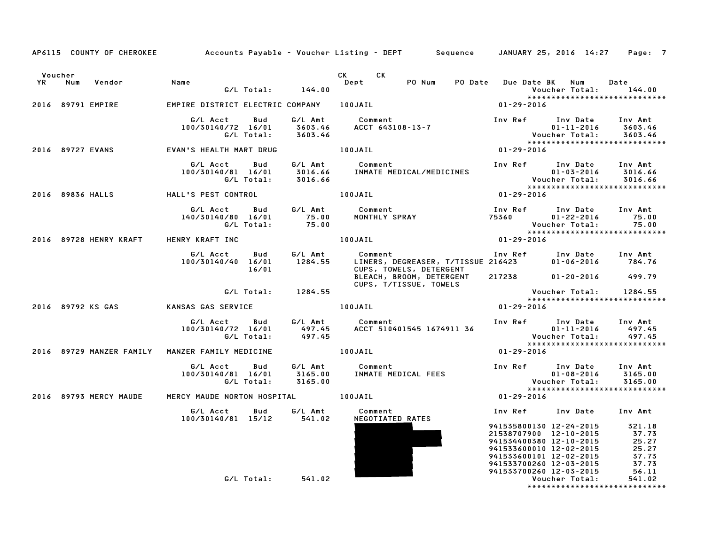|         |        |                        | AP6115 COUNTY OF CHEROKEE Accounts Payable - Voucher Listing - DEPT Sequence JANUARY 25, 2016 14:27 Page: 7                                                                            |            |                    |                                                         |                                                                 |                                                                                                                                                                                                                                     |                       |                                                                 |
|---------|--------|------------------------|----------------------------------------------------------------------------------------------------------------------------------------------------------------------------------------|------------|--------------------|---------------------------------------------------------|-----------------------------------------------------------------|-------------------------------------------------------------------------------------------------------------------------------------------------------------------------------------------------------------------------------------|-----------------------|-----------------------------------------------------------------|
| Voucher | YR Num | Vendor                 | Name                                                                                                                                                                                   |            | G/L Total: 144.00  | CK CK<br>Dept                                           | PO Num                                                          | PO Date Due Date BK Num                                                                                                                                                                                                             |                       | Date<br>Voucher Total: 144.00<br>****************************** |
|         |        | 2016 89791 EMPIRE      | EMPIRE DISTRICT ELECTRIC COMPANY 100JAIL                                                                                                                                               |            |                    |                                                         |                                                                 | 01-29-2016                                                                                                                                                                                                                          |                       |                                                                 |
|         |        |                        | G/L Acct  Bud  G/L Amt  Comment<br>100/30140/72 16/01  3603.46  ACCT  643108-13-7<br>G/L Total:  3603.46                                                                               |            |                    |                                                         |                                                                 | Inv Ref Inv Date Inv Amt                                                                                                                                                                                                            |                       |                                                                 |
|         |        |                        | 2016 89727 EVANS EVAN'S HEALTH MART DRUG 100JAIL                                                                                                                                       |            |                    |                                                         |                                                                 |                                                                                                                                                                                                                                     |                       |                                                                 |
|         |        |                        | G/L Acct   Bud<br>100/30140/81 16/01                                                                                                                                                   |            |                    |                                                         |                                                                 |                                                                                                                                                                                                                                     |                       |                                                                 |
|         |        |                        | 2016 89836 HALLS           HALL'S PEST CONTROL                 100JAIL                                                                                                                 |            |                    |                                                         |                                                                 | $01 - 29 - 2016$                                                                                                                                                                                                                    |                       |                                                                 |
|         |        |                        | G/L Acct Bud G/L Amt Comment Inv Ref Inv Date Inv Amt<br>140/30140/80 16/01 75.00 MONTHLY SPRAY 75360 01-22-2016 75.00<br>G/L Total: 75.00<br>NRY KRAFT INC 100JAIL 100JAIL 01-29-2016 |            |                    |                                                         |                                                                 |                                                                                                                                                                                                                                     |                       |                                                                 |
|         |        |                        | 2016 89728 HENRY KRAFT HENRY KRAFT INC                                                                                                                                                 |            |                    |                                                         |                                                                 |                                                                                                                                                                                                                                     |                       |                                                                 |
|         |        |                        | 100/30140/40 16/01 1284.55                                                                                                                                                             | 16/01      |                    | G/L Acct Bud G/L Amt Comment<br>CUPS, TOWELS, DETERGENT | Comment<br>LINERS, DEGREASER, T/TISSUE 216423 01-06-2016 784.76 |                                                                                                                                                                                                                                     |                       |                                                                 |
|         |        |                        |                                                                                                                                                                                        |            |                    |                                                         | BLEACH, BROOM, DETERGENT 217238 01-20-2016 499.79               |                                                                                                                                                                                                                                     |                       |                                                                 |
|         |        |                        |                                                                                                                                                                                        |            | G/L Total: 1284.55 |                                                         |                                                                 |                                                                                                                                                                                                                                     |                       |                                                                 |
|         |        |                        | 2016 89792 KS GAS               KANSAS GAS SERVICE                                                                                                                                     |            |                    | 100JAIL                                                 |                                                                 | 01-29-2016                                                                                                                                                                                                                          |                       |                                                                 |
|         |        |                        | G/L Acct Bud G/L Amt Comment Inv Ref Inv Date Inv Amt<br>100/30140/72 16/01 497.45 ACCT 510401545 1674911 36 01–11–2016 497.45<br>G/L Total: 497.45 497.45 Voucher Total: 497.45       |            |                    |                                                         |                                                                 |                                                                                                                                                                                                                                     |                       |                                                                 |
|         |        |                        | 2016 89729 MANZER FAMILY MANZER FAMILY MEDICINE                                                                                                                                        |            | <b>100JAIL</b>     |                                                         |                                                                 | $01 - 29 - 2016$                                                                                                                                                                                                                    |                       |                                                                 |
|         |        |                        |                                                                                                                                                                                        |            |                    |                                                         |                                                                 |                                                                                                                                                                                                                                     |                       |                                                                 |
|         |        | 2016 89793 MERCY MAUDE | MERCY MAUDE NORTON HOSPITAL 100JAIL                                                                                                                                                    |            |                    |                                                         |                                                                 | $01 - 29 - 2016$                                                                                                                                                                                                                    |                       |                                                                 |
|         |        |                        | 100/30140/81 15/12 541.02                                                                                                                                                              |            |                    | G/L Acct Bud G/L Amt Comment<br>NEGOTIATED RATES        |                                                                 | Inv Ref Inv Date Inv Amt                                                                                                                                                                                                            |                       |                                                                 |
|         |        |                        |                                                                                                                                                                                        |            |                    |                                                         |                                                                 | 941535800130 12-24-2015 321.18<br>21538707900 12-10-2015 37.73<br>941534400380 12-10-2015 25.27<br>941533600010 12-02-2015 25.27<br>941533600101 12-02-2015 37.73<br>941533700260 12-03-2015 37.73<br>941533700260 12-03-2015 37.73 |                       |                                                                 |
|         |        |                        |                                                                                                                                                                                        | G/L Total: | 541.02             |                                                         |                                                                 | 941533700260 12-03-2015                                                                                                                                                                                                             | <b>Voucher Total:</b> | 56.11<br>541.02                                                 |

\*\*\*\*\*\*\*\*\*\*\*\*\*\*\*\*\*\*\*\*\*\*\*\*\*\*\*\*\*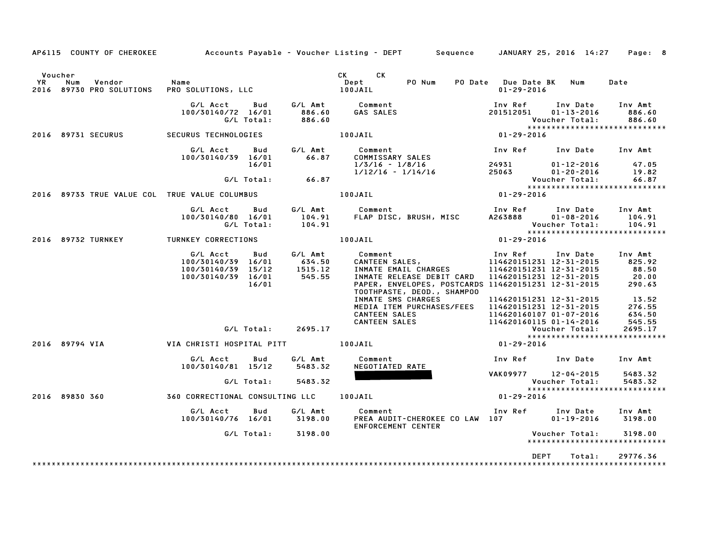| AP6115 COUNTY OF CHEROKEE                                         |                                                                                            |                                        | Accounts Payable – Voucher Listing – DEPT       Sequence     JANUARY 25, 2016 14:27                                                                                                                                                                                                                |                                                                                                                                                                                                                    | Page: 8                                                                              |
|-------------------------------------------------------------------|--------------------------------------------------------------------------------------------|----------------------------------------|----------------------------------------------------------------------------------------------------------------------------------------------------------------------------------------------------------------------------------------------------------------------------------------------------|--------------------------------------------------------------------------------------------------------------------------------------------------------------------------------------------------------------------|--------------------------------------------------------------------------------------|
| Voucher<br><b>YR</b><br>Num<br>Vendor<br>2016 89730 PRO SOLUTIONS | Name<br>PRO SOLUTIONS, LLC                                                                 |                                        | CK CK<br>Dept<br>PO Num<br><b>100JAIL</b>                                                                                                                                                                                                                                                          | PO Date Due Date BK Num<br>$01 - 29 - 2016$                                                                                                                                                                        | Date                                                                                 |
|                                                                   | G/L Acct<br>Bud<br>100/30140/72 16/01<br>G/L Total:                                        | 886.60<br>886.60                       | G/L Amt Comment<br>GAS SALES                                                                                                                                                                                                                                                                       | Inv Ref<br>Inv Date<br>201512051<br>$01 - 13 - 2016$<br>Voucher Total:                                                                                                                                             | Inv Amt<br>886.60<br>886.60                                                          |
| 2016 89731 SECURUS                                                | SECURUS TECHNOLOGIES                                                                       |                                        | 100JAIL                                                                                                                                                                                                                                                                                            | $01 - 29 - 2016$                                                                                                                                                                                                   | *****************************                                                        |
|                                                                   | G/L Acct<br>Bud<br>100/30140/39 16/01                                                      | G/L Amt<br>66.87                       | <b>Comment</b><br>COMMISSARY SALES                                                                                                                                                                                                                                                                 | Inv Ref      Inv Date     Inv Amt                                                                                                                                                                                  |                                                                                      |
|                                                                   | 16/01<br>$G/L$ Total: 66.87                                                                |                                        | $1/3/16 - 1/8/16$<br>$1/12/16 - 1/14/16$                                                                                                                                                                                                                                                           | 24931 2493<br>01-12-2016<br>25063<br>01-20-2016<br>Voucher Total:                                                                                                                                                  | 47.05<br>19.82<br>66.87                                                              |
| 2016 89733 TRUE VALUE COL TRUE VALUE COLUMBUS   100JAIL           |                                                                                            |                                        |                                                                                                                                                                                                                                                                                                    | $01 - 29 - 2016$                                                                                                                                                                                                   | *****************************                                                        |
|                                                                   | G/L Acct Bud<br>100/30140/80 16/01<br>G/L Total:                                           |                                        | 104.91 FLAP DISC, BRUSH, MISC 108-2016<br>104.91 FLAP DISC, BRUSH, MISC 4263888 01-08-2016                                                                                                                                                                                                         | Inv Ref Inv Date                                                                                                                                                                                                   | Inv Amt<br>104.91<br>104.91                                                          |
| 2016 89732 TURNKEY                                                | TURNKEY CORRECTIONS                                                                        |                                        | 100JAIL                                                                                                                                                                                                                                                                                            | *****************************<br>$01 - 29 - 2016$                                                                                                                                                                  |                                                                                      |
|                                                                   | G/L Acct<br>Bud<br>100/30140/39 16/01<br>100/30140/39 15/12<br>100/30140/39 16/01<br>16/01 | G/L Amt<br>634.50<br>1515.12<br>545.55 | Comment<br>Comment<br>CANTEEN SALES,<br>INMATE EMAIL CHARGES<br>INMATE EMAIL CHARGES<br>INMATE RELEASE DEBIT CARD<br>PAPER, ENVELOPES, POSTCARDS 114620151231 12-31-2015<br>TOOTHPASTE, DEOD., SHAMPOO<br>INMATE SMS CHARGES<br>MEDIA ITEM PURCHASES/FEES<br><b>CANTEEN SALES</b><br>CANTEEN SALES | Inv Ref      Inv Date<br>114620151231 12-31-2015<br>114620151231 12-31-2015<br>114620151231 12-31-2015<br>114620151231 12-31-2015<br>114620151231 12-31-2015<br>114620160107 01-07-2016<br>114620160115 01-14-2016 | Inv Amt<br>825.92<br>88.50<br>20.00<br>290.63<br>13.52<br>276.55<br>634.50<br>545.55 |
|                                                                   | G/L Total:                                                                                 | 2695.17                                |                                                                                                                                                                                                                                                                                                    | Voucher Total:                                                                                                                                                                                                     | 2695.17<br>*****************************                                             |
| 2016 89794 VIA                                                    |                                                                                            |                                        |                                                                                                                                                                                                                                                                                                    | $01 - 29 - 2016$                                                                                                                                                                                                   |                                                                                      |
|                                                                   | G/L Acct<br>Bud<br>100/30140/81 15/12                                                      | G/L Amt<br>5483.32                     | Comment<br>NEGOTIATED RATE                                                                                                                                                                                                                                                                         | Inv Ref      Inv Date                                                                                                                                                                                              | Inv Amt                                                                              |
|                                                                   | G/L Total:                                                                                 | 5483.32                                |                                                                                                                                                                                                                                                                                                    | VAK09977 12-04-2015<br>Voucher Total:                                                                                                                                                                              | 5483.32<br>5483.32                                                                   |
| 2016 89830 360                                                    | 360 CORRECTIONAL CONSULTING LLC 100JAIL                                                    |                                        |                                                                                                                                                                                                                                                                                                    | $01 - 29 - 2016$                                                                                                                                                                                                   | *****************************                                                        |
|                                                                   | Bud<br>G/L Acct<br>100/30140/76 16/01 3198.00                                              | G/L Amt                                | Comment<br>PREA AUDIT-CHEROKEE CO LAW 107<br>ENFORCEMENT CENTER                                                                                                                                                                                                                                    | Inv Ref Inv Date Inv Amt<br>$01 - 19 - 2016$                                                                                                                                                                       | 3198.00                                                                              |
|                                                                   | G/L Total: 3198.00                                                                         |                                        |                                                                                                                                                                                                                                                                                                    | Voucher Total:                                                                                                                                                                                                     | 3198.00<br>*****************************                                             |
|                                                                   |                                                                                            |                                        |                                                                                                                                                                                                                                                                                                    | <b>DEPT</b><br>Total:                                                                                                                                                                                              | 29776.36                                                                             |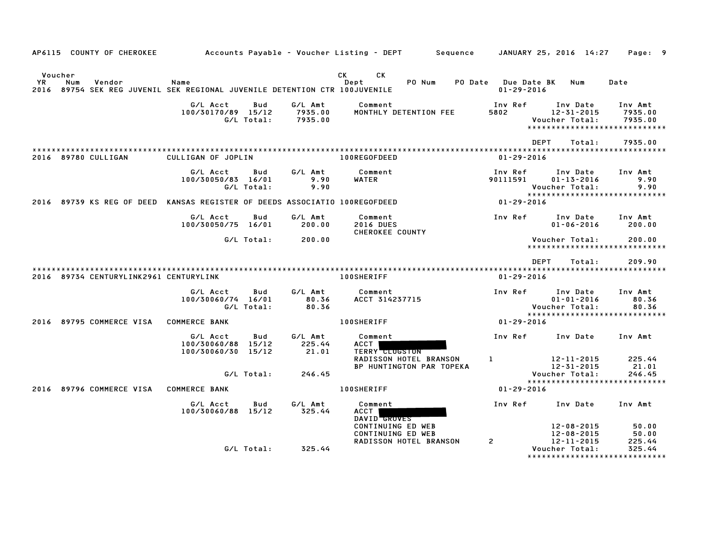| AP6115 COUNTY OF CHEROKEE                                                                         |                                                |                          |                               | Accounts Payable – Voucher Listing – DEPT<br>Sequence                   |                                        | JANUARY 25, 2016 14:27                                                          | Page: 9                                 |
|---------------------------------------------------------------------------------------------------|------------------------------------------------|--------------------------|-------------------------------|-------------------------------------------------------------------------|----------------------------------------|---------------------------------------------------------------------------------|-----------------------------------------|
| Voucher                                                                                           |                                                |                          |                               | CK.<br>CK.                                                              |                                        |                                                                                 |                                         |
| YR<br>Num<br>Vendor<br>2016 89754 SEK REG JUVENIL SEK REGIONAL JUVENILE DETENTION CTR 100JUVENILE | Name                                           |                          |                               | Dept<br>PO Num<br><b>PO Date</b>                                        | <b>Due Date BK</b><br>$01 - 29 - 2016$ | Num                                                                             | Date                                    |
|                                                                                                   | G/L Acct<br>100/30170/89 15/12                 | Bud<br>G/L Total:        | G/L Amt<br>7935.00<br>7935.00 | Comment<br>MONTHLY DETENTION FEE                                        | Inv Ref<br>5802                        | Inv Date<br>12-31-2015<br>Voucher Total:<br>*****************************       | Inv Amt<br>7935.00<br>7935.00           |
|                                                                                                   |                                                |                          |                               |                                                                         |                                        | <b>DEPT</b><br>Total:                                                           | 7935.00                                 |
| 2016 89780 CULLIGAN                                                                               | CULLIGAN OF JOPLIN                             |                          |                               | 100REGOFDEED                                                            | $01 - 29 - 2016$                       |                                                                                 |                                         |
|                                                                                                   | G/L Acct<br>100/30050/83 16/01                 | <b>Bud</b><br>G/L Total: | G/L Amt<br>9.90<br>9.90       | Comment<br><b>WATER</b>                                                 | Inv Ref<br>90111591                    | Inv Date<br>$01 - 13 - 2016$<br>Voucher Total:                                  | Inv Amt<br>9.90<br>9.90                 |
| 2016 89739 KS REG OF DEED KANSAS REGISTER OF DEEDS ASSOCIATIO 100REGOFDEED                        |                                                |                          |                               |                                                                         | $01 - 29 - 2016$                       | *****************************                                                   |                                         |
|                                                                                                   | G/L Acct<br>100/30050/75 16/01                 | Bud                      | G/L Amt<br>200.00             | Comment<br><b>2016 DUES</b><br>CHEROKEE COUNTY                          | Inv Ref                                | Inv Date<br>$01 - 06 - 2016$                                                    | Inv Amt<br>200.00                       |
|                                                                                                   |                                                | G/L Total:               | 200.00                        |                                                                         |                                        | Voucher Total:<br>*****************************                                 | 200.00                                  |
|                                                                                                   |                                                |                          |                               |                                                                         |                                        | <b>DEPT</b><br>Total:                                                           | 209.90                                  |
| 2016 89734 CENTURYLINK2961 CENTURYLINK                                                            |                                                |                          |                               | <b>100SHERIFF</b>                                                       | $01 - 29 - 2016$                       |                                                                                 |                                         |
|                                                                                                   | G/L Acct<br>100/30060/74 16/01                 | Bud<br>G/L Total:        | G/L Amt<br>80.36<br>80.36     | Comment<br>ACCT 314237715                                               | Inv Ref                                | Inv Date<br>$01 - 01 - 2016$<br>Voucher Total:<br>***************************** | Inv Amt<br>80.36<br>80.36               |
| 2016 89795 COMMERCE VISA                                                                          | <b>COMMERCE BANK</b>                           |                          |                               | <b>100SHERIFF</b>                                                       | 01-29-2016                             |                                                                                 |                                         |
|                                                                                                   | G/L Acct<br>100/30060/88<br>100/30060/30 15/12 | Bud<br>15/12             | G/L Amt<br>225.44<br>21.01    | Comment<br>ACCT<br><b>TERRY CLUGSTON</b>                                | Inv Ref                                | Inv Date                                                                        | Inv Amt                                 |
|                                                                                                   |                                                | G/L Total:               | 246.45                        | <b>RADISSON HOTEL BRANSON</b><br>BP HUNTINGTON PAR TOPEKA               | $\bf{1}$                               | 12-11-2015<br>12-31-2015<br>Voucher Total:<br>*********************             | 225.44<br>21.01<br>246.45<br>********** |
| 2016 89796 COMMERCE VISA                                                                          | <b>COMMERCE BANK</b>                           |                          |                               | <b>100SHERIFF</b>                                                       | $01 - 29 - 2016$                       |                                                                                 |                                         |
|                                                                                                   | G/L Acct<br>100/30060/88 15/12                 | Bud                      | G/L Amt<br>325.44             | Comment<br><b>ACCT</b><br>DAVID GROVES                                  | Inv Ref                                | Inv Date                                                                        | Inv Amt                                 |
|                                                                                                   |                                                | G/L Total:               | 325.44                        | CONTINUING ED WEB<br>CONTINUING ED WEB<br><b>RADISSON HOTEL BRANSON</b> | 2                                      | $12 - 08 - 2015$<br>$12 - 08 - 2015$<br>$12 - 11 - 2015$<br>Voucher Total:      | 50.00<br>50.00<br>225.44<br>325.44      |
|                                                                                                   |                                                |                          |                               |                                                                         |                                        |                                                                                 |                                         |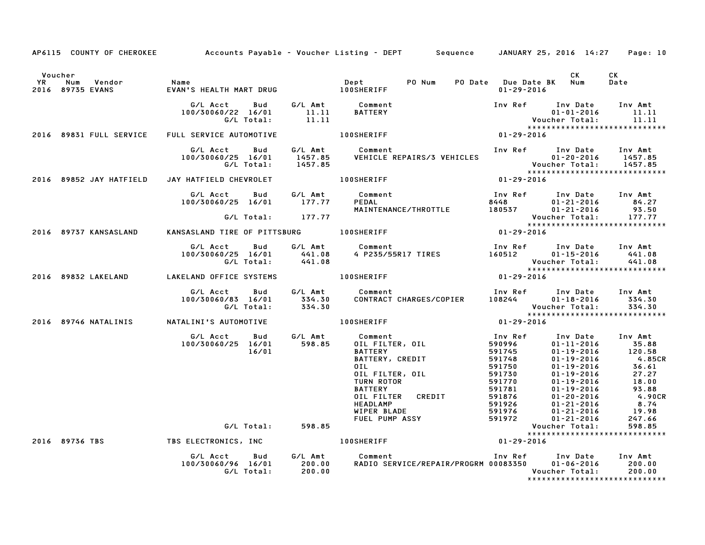|      |                                           |                                                                                                                                                          |        | AP6115 COUNTY OF CHEROKEE Accounts Payable - Voucher Listing - DEPT Sequence JANUARY 25, 2016 14:27                                                                                                                                                              |                  |                                                 | Page: 10                                                                                                                                                                                                              |
|------|-------------------------------------------|----------------------------------------------------------------------------------------------------------------------------------------------------------|--------|------------------------------------------------------------------------------------------------------------------------------------------------------------------------------------------------------------------------------------------------------------------|------------------|-------------------------------------------------|-----------------------------------------------------------------------------------------------------------------------------------------------------------------------------------------------------------------------|
| YR D | Voucher<br>Num Vendor<br>2016 89735 EVANS | Name                                                                                                                                                     |        |                                                                                                                                                                                                                                                                  | 01-29-2016       | CK<br>PO Date Due Date BK Num                   | CK<br>Date                                                                                                                                                                                                            |
|      |                                           |                                                                                                                                                          |        | Inv Ref Inv Date Inv Amt                                                                                                                                                                                                                                         |                  |                                                 |                                                                                                                                                                                                                       |
|      | 2016 89831 FULL SERVICE                   | FULL SERVICE AUTOMOTIVE TO LOOSHERIFF                                                                                                                    |        |                                                                                                                                                                                                                                                                  |                  |                                                 |                                                                                                                                                                                                                       |
|      |                                           | 100/30060/25 16/01                                                                                                                                       |        | - -------<br>  G/L Act   Bud   G/L Amt   Comment   Inver   Inver   1112-20-2016   1457.85<br>  C/L Total:   1457.85   VEHICLE REPAIRS/3 VEHICLES   Voucher Total:   1457.85   C/L Total:   1457.85   C/L Total<br>  C/L Total:   1457.                           |                  |                                                 |                                                                                                                                                                                                                       |
|      | 2016 89852 JAY HATFIELD                   | JAY HATFIELD CHEVROLET 100SHERIFF                                                                                                                        |        | $01 - 29 - 2016$                                                                                                                                                                                                                                                 |                  |                                                 |                                                                                                                                                                                                                       |
|      |                                           | G/L Acct<br>$100/30060/25$ $16/01$ $177.77$                                                                                                              |        | Bud G/L Amt Comment                                                                                                                                                                                                                                              |                  |                                                 |                                                                                                                                                                                                                       |
|      |                                           | G/L Total: 177.77                                                                                                                                        |        |                                                                                                                                                                                                                                                                  |                  |                                                 |                                                                                                                                                                                                                       |
|      | 2016 89737 KANSASLAND                     |                                                                                                                                                          |        | KANSASLAND TIRE OF PITTSBURG 100SHERIFF                                                                                                                                                                                                                          |                  |                                                 |                                                                                                                                                                                                                       |
|      |                                           | G/L Acct        Bud         G/L Amt             Comment<br>100/30060/25 16/01 441.08<br>G/L Total: 441.08                                                |        |                                                                                                                                                                                                                                                                  |                  |                                                 | 441.08                                                                                                                                                                                                                |
|      |                                           | 2016 89832 LAKELAND LAKELAND OFFICE SYSTEMS 100SHERIFF                                                                                                   |        |                                                                                                                                                                                                                                                                  |                  |                                                 |                                                                                                                                                                                                                       |
|      |                                           | G/L Acct Bud G/L Amt Comment<br>100/30060/83 16/01 334.30 CONTRACT<br>G/L Total: 334.30                                                                  |        | Comment                                Inv Ref      Inv Date     Inv Amt<br>CONTRACT CHARGES/COPIER       108244         01-18-2016       334.30                                                                                                                 |                  | ******************************                  | 334.30                                                                                                                                                                                                                |
|      |                                           |                                                                                                                                                          |        | $01 - 29 - 2016$                                                                                                                                                                                                                                                 |                  |                                                 |                                                                                                                                                                                                                       |
|      |                                           | G/L Acct        Bud         G/L Amt           Comment<br>100/30060/25   16/01             598.85         0IL FILTER,  0IL<br>100/30060/25 16/01<br>16/01 |        | 1 MV Ref Inv Date<br>OIL FILTER, OIL<br>BATTERY<br>BATTERY, CREDIT<br>DIL<br>OIL FILTER, OIL<br>OIL 591748<br>OI-19-2016<br>OIL 591748<br>OI-19-2016<br>OIL 591750<br>OI-19-2016<br>OIL FILTER, OIL<br>TURN ROTOR<br>BATTERY<br>DIRIC 591770<br>OI-19-2016<br>DI | Inv Ref          | Inv Date Inv Amt                                | - vate Inv Amt<br>01-11-2016 35.88<br>01-19-2016 120.58<br>01-19-2016 4.85CF<br>01-19-2016 36.61<br>01-19-2016 27.27<br>01-19-2016 18.00<br>71-19-2016 93.88<br>1-20-2016 4.90CR<br>1-21-2016 8.74<br>19.98<br>247.66 |
|      |                                           | G/L Total: 598.85                                                                                                                                        |        |                                                                                                                                                                                                                                                                  |                  |                                                 | 598.85                                                                                                                                                                                                                |
|      | 2016 89736 TBS                            |                                                                                                                                                          |        | TBS ELECTRONICS, INC <b>100SHERIFF</b>                                                                                                                                                                                                                           | $01 - 29 - 2016$ | ******************************                  |                                                                                                                                                                                                                       |
|      |                                           | G/L Acct  Bud  G/L Amt  Comment<br>100/30060/96  16/01  200.00  RADIO  SER\<br>G/L Total:                                                                | 200.00 | Comment                           Inv Ref      Inv Date    Inv Amt<br>RADIO SERVICE/REPAIR/PROGRM 00083350      01-06-2016     200.00                                                                                                                            |                  | Voucher Total:<br>***************************** | 200.00                                                                                                                                                                                                                |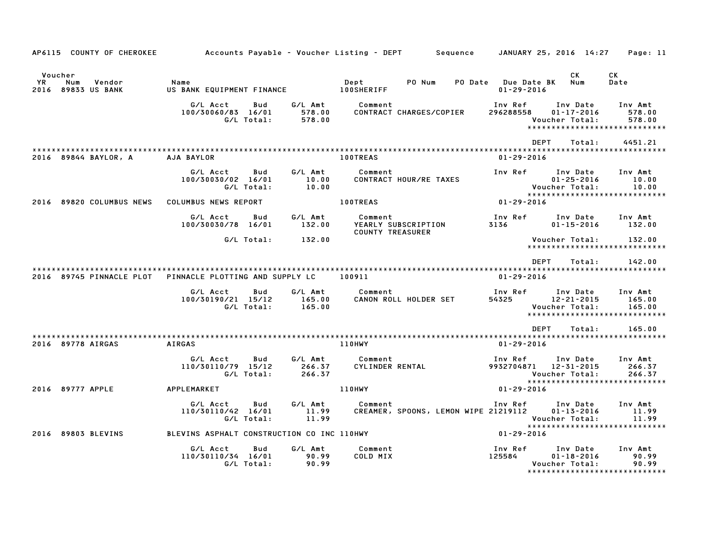| AP6115 COUNTY OF CHEROKEE                             |                                                     |                             | Accounts Payable – Voucher Listing – DEPT         Sequence | JANUARY 25, 2016 14:27                                                                                  | Page: 11                    |
|-------------------------------------------------------|-----------------------------------------------------|-----------------------------|------------------------------------------------------------|---------------------------------------------------------------------------------------------------------|-----------------------------|
| Voucher<br>YR.<br>Num<br>Vendor<br>2016 89833 US BANK | Name<br>US BANK EQUIPMENT FINANCE                   |                             | Dept<br>PO Num<br><b>100SHERIFF</b>                        | CK<br>PO Date Due Date BK<br>Num<br>$01 - 29 - 2016$                                                    | СK<br>Date                  |
|                                                       | G/L Acct<br>Bud<br>100/30060/83 16/01<br>G/L Total: | G/L Amt<br>578.00<br>578.00 | Comment<br>CONTRACT CHARGES/COPIER                         | Inv Ref<br>Inv Date<br>296288558<br>$01 - 17 - 2016$<br>Voucher Total:<br>***************************** | Inv Amt<br>578.00<br>578.00 |
|                                                       |                                                     |                             |                                                            | <b>DEPT</b><br>Total:                                                                                   | 4451.21                     |
| 2016 89844 BAYLOR, A                                  | AJA BAYLOR                                          |                             | <b>100TREAS</b>                                            | $01 - 29 - 2016$                                                                                        |                             |
|                                                       | G/L Acct<br>Bud<br>100/30030/02 16/01<br>G/L Total: | G/L Amt<br>10.00<br>10.00   | Comment<br>CONTRACT HOUR/RE TAXES                          | Inv Ref<br>Inv Date<br>$01 - 25 - 2016$<br>Voucher Total:                                               | Inv Amt<br>10.00<br>10.00   |
| 2016 89820 COLUMBUS NEWS                              | COLUMBUS NEWS REPORT                                |                             | <b>100TREAS</b>                                            | ******************************<br>$01 - 29 - 2016$                                                      |                             |
|                                                       | G/L Acct<br>Bud<br>100/30030/78 16/01               | G∕L Amt<br>132.00           | Comment<br>YEARLY SUBSCRIPTION<br><b>COUNTY TREASURER</b>  | Inv Ref<br>Inv Date<br>3136<br>$01 - 15 - 2016$                                                         | Inv Amt<br>132.00           |
|                                                       | G/L Total:                                          | 132.00                      |                                                            | Voucher Total:<br>*****************************                                                         | 132.00                      |
|                                                       |                                                     |                             |                                                            | DEPT<br>Total:                                                                                          | 142.00                      |
| 2016 89745 PINNACLE PLOT                              | PINNACLE PLOTTING AND SUPPLY LC                     |                             | 100911                                                     | $01 - 29 - 2016$                                                                                        |                             |
|                                                       | G/L Acct<br>Bud<br>100/30190/21 15/12<br>G/L Total: | G/L Amt<br>165.00<br>165.00 | Comment<br>CANON ROLL HOLDER SET                           | Inv Ref<br>Inv Date<br>54325<br>12-21-2015<br>Voucher Total:<br>*****************************           | Inv Amt<br>165.00<br>165.00 |
|                                                       |                                                     |                             |                                                            | <b>DEPT</b><br>Total:                                                                                   | 165.00                      |
| 2016 89778 AIRGAS                                     | <b>AIRGAS</b>                                       |                             | 110HWY                                                     | $01 - 29 - 2016$                                                                                        |                             |
|                                                       | G/L Acct<br>Bud<br>110/30110/79 15/12<br>G/L Total: | G/L Amt<br>266.37<br>266.37 | Comment<br>CYLINDER RENTAL                                 | Inv Ref<br>Inv Date<br>9932704871<br>12-31-2015<br>Voucher Total:                                       | Inv Amt<br>266.37<br>266.37 |
| 2016 89777 APPLE                                      | APPLEMARKET                                         |                             | <b>110HWY</b>                                              | ******************************<br>01-29-2016                                                            |                             |
|                                                       | G/L Acct<br>Bud<br>110/30110/42 16/01<br>G/L Total: | G/L Amt<br>11.99<br>11.99   | Comment<br>CREAMER, SPOONS, LEMON WIPE 21219112            | Inv Ref Inv Date<br>$01 - 13 - 2016$<br>Voucher Total:<br>*****************************                 | Inv Amt<br>11.99<br>11.99   |
| 2016 89803 BLEVINS                                    | BLEVINS ASPHALT CONSTRUCTION CO INC 110HWY          |                             |                                                            | 01-29-2016                                                                                              |                             |
|                                                       | G/L Acct<br>Bud<br>110/30110/34 16/01<br>G/L Total: | G/L Amt<br>90.99<br>90.99   | Comment<br>COLD MIX                                        | Inv Ref<br>Inv Date<br>125584<br>$01 - 18 - 2016$<br>Voucher Total:<br>*******************************  | Inv Amt<br>90.99<br>90.99   |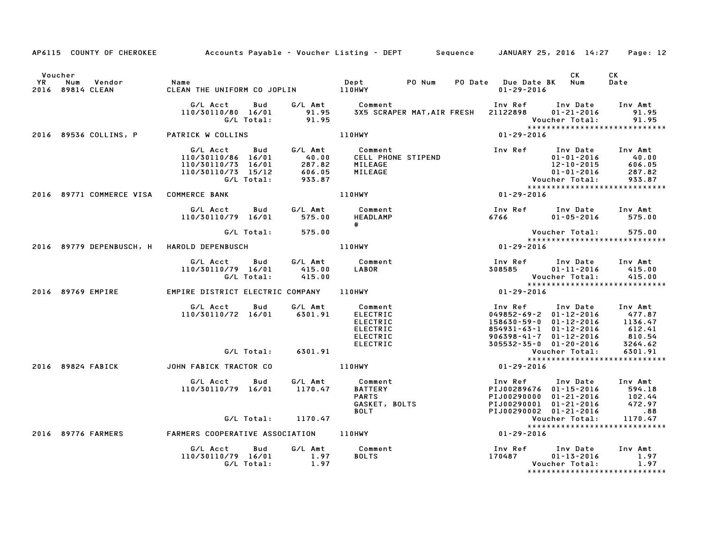|                      | AP6115 COUNTY OF CHEROKEE                  | Accounts Payable – Voucher Listing – DEPT         Sequence     JANUARY 25, 2016 14:27                               |                    |                                                                                                                                                                                                                         |  |                                                                                                                                                                                                                         |                                                      | Page: 12                                                                                                                                                            |
|----------------------|--------------------------------------------|---------------------------------------------------------------------------------------------------------------------|--------------------|-------------------------------------------------------------------------------------------------------------------------------------------------------------------------------------------------------------------------|--|-------------------------------------------------------------------------------------------------------------------------------------------------------------------------------------------------------------------------|------------------------------------------------------|---------------------------------------------------------------------------------------------------------------------------------------------------------------------|
| Voucher<br><b>YR</b> | Num Vendor<br>2016 89814 CLEAN             | Name                                                                                                                |                    |                                                                                                                                                                                                                         |  |                                                                                                                                                                                                                         | CK                                                   | CK<br>Date                                                                                                                                                          |
|                      |                                            | G/L Acct Bud G/L Amt Comment<br>110/30110/80 16/01 91.95 3X5 SCRAPER MAT<br>G/L Total: 91.95                        |                    |                                                                                                                                                                                                                         |  | Inv Ref      Inv Date     Inv Amt<br>3X5 SCRAPER MAT, AIR FRESH 21122898 01-21-2016<br>Vouc<br>* * * *<br>01-29-2016                                                                                                    | Voucher Total:                                       | 91.95<br>91.95<br>*****************************                                                                                                                     |
|                      |                                            | 2016 89536 COLLINS, P PATRICK W COLLINS                                                                             |                    | 110HWY                                                                                                                                                                                                                  |  |                                                                                                                                                                                                                         |                                                      |                                                                                                                                                                     |
|                      |                                            | G/L Acct<br>110/30110/86 16/01 40.00<br>110/30110/73 16/01 287.82<br>110/30110/73 15/12 606.05<br>6/L Total: 933.87 |                    | Bud G/L Amt Comment<br>40.00 CELL PHONE STIPEND<br>40.00 CELL PHONE STIPEND<br>287.82 MILEAGE<br>606.05 MILEAGE<br>933.87 Voucher Total:<br>110HWY 01-29-2016                                                           |  | Inv Ref Inv Date Inv Amt                                                                                                                                                                                                |                                                      | 01-01-2016<br>12-10-2015 606.05<br>01-01-2016 287.82<br>0ucher Total: 933.87<br>933.87                                                                              |
|                      | 2016 89771 COMMERCE VISA COMMERCE BANK     |                                                                                                                     |                    |                                                                                                                                                                                                                         |  |                                                                                                                                                                                                                         |                                                      | *****************************                                                                                                                                       |
|                      |                                            | G/L Acct   Bud   G/L Amt<br>110/30110/79 16/01 575.00                                                               |                    | Comment<br>HEADLAMP<br>$\#$ and $\#$                                                                                                                                                                                    |  |                                                                                                                                                                                                                         |                                                      | $01 - 05 - 2016$ 575.00                                                                                                                                             |
|                      |                                            | G/L Total: 575.00                                                                                                   |                    |                                                                                                                                                                                                                         |  | Vouc<br>****<br>01-29-2016                                                                                                                                                                                              | Voucher Total: 575.00<br>*************************** |                                                                                                                                                                     |
|                      | 2016 89779 DEPENBUSCH, H HAROLD DEPENBUSCH |                                                                                                                     |                    | 110HWY                                                                                                                                                                                                                  |  |                                                                                                                                                                                                                         |                                                      | ******************************                                                                                                                                      |
|                      |                                            | G/L Acct<br>110/30110/79 16/01<br>G/L Total:                                                                        |                    | Bud G/LAmt Comment InvRef<br>16/01 415.00 LABOR 508585<br>16/01 415.00 LABOR 508585<br>19.29-2016 110HWY 110HWY 110HWY                                                                                                  |  | Inv Ref      Inv Date     Inv Amt                                                                                                                                                                                       | $01 - 11 - 2016$<br>Voucher Total:                   | 415.00<br>415.00                                                                                                                                                    |
|                      | 2016 89769 EMPIRE                          | EMPIRE DISTRICT ELECTRIC COMPANY 110HWY                                                                             |                    |                                                                                                                                                                                                                         |  |                                                                                                                                                                                                                         |                                                      | *****************************                                                                                                                                       |
|                      |                                            | G/L Acct Bud<br>110/30110/72 16/01 6301.91                                                                          |                    | G/L Amt Comment<br><b>ELECTRIC</b><br><b>ELECTRIC</b><br><b>ELECTRIC</b><br>ELECTRIC<br>ELECTRIC<br>ELECTRIC<br>ELECTRIC<br>ELECTRIC<br>ELECTRIC<br>201-20-2016<br>205532-35-0 01-20-2016<br>201-29-2016<br>201-29-2016 |  | Inv Ref Inv Date Inv Amt<br>158630-59-0 01-12-2016                                                                                                                                                                      |                                                      | 049852-69-2 01-12-2016 477.87<br>158630-59-0 01-12-2016 1136.47<br>854931-63-1 01-12-2016 612.41<br>906398-41-7 01-12-2016 810.54<br>305532-35-0 01-20-2016 3264.62 |
|                      |                                            |                                                                                                                     |                    |                                                                                                                                                                                                                         |  |                                                                                                                                                                                                                         |                                                      | 6301.91                                                                                                                                                             |
|                      | 2016 89824 FABICK                          | JOHN FABICK TRACTOR CO                                                                                              |                    |                                                                                                                                                                                                                         |  |                                                                                                                                                                                                                         |                                                      | *****************************                                                                                                                                       |
|                      |                                            | G/L Acct Bud<br>110/30110/79 16/01                                                                                  | G/L Amt<br>1170.47 |                                                                                                                                                                                                                         |  | 100289676 101-15-2016<br>PARTERY PIJ00289676 01-15-2016 594.18<br>PARTER PIJ00290000 01-21-2016 102.44<br>GASKET, BOLTS PIJ00290001 01-21-2016 472.97<br>PIJ00290002 01-21-2016 472.97<br>PIJ00290002 01-21-2016 472.97 |                                                      | 594.18<br>102.44<br>472.97                                                                                                                                          |
|                      |                                            | G/L Total: 1170.47                                                                                                  |                    |                                                                                                                                                                                                                         |  |                                                                                                                                                                                                                         |                                                      |                                                                                                                                                                     |
|                      |                                            |                                                                                                                     |                    |                                                                                                                                                                                                                         |  | Vouc<br>*****<br>01-29-2016                                                                                                                                                                                             |                                                      | ******************************                                                                                                                                      |
|                      |                                            | G/L Acct<br>110/30110/79 16/01 1.97<br>G/L Total: 1.97                                                              |                    | Bud G/L Amt Comment<br><b>BOLTS</b>                                                                                                                                                                                     |  |                                                                                                                                                                                                                         | Voucher Total:                                       | Inv Amt<br>1.97<br>1.97                                                                                                                                             |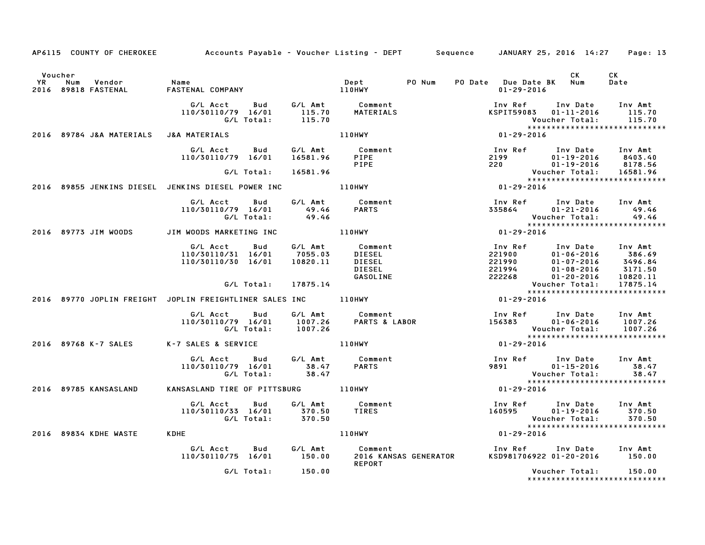|           |                                        | AP6115 COUNTY OF CHEROKEE Accounts Payable - Voucher Listing - DEPT Sequence JANUARY 25, 2016 14:27 Page: 13 |               |                                                                                                                                                                                                                                      |                                                                                                                                                                                                            |                                    |                                                   |
|-----------|----------------------------------------|--------------------------------------------------------------------------------------------------------------|---------------|--------------------------------------------------------------------------------------------------------------------------------------------------------------------------------------------------------------------------------------|------------------------------------------------------------------------------------------------------------------------------------------------------------------------------------------------------------|------------------------------------|---------------------------------------------------|
| <b>YR</b> | Voucher<br>Num Vendor                  | Name<br>2016 89818 FASTENAL FASTENAL COMPANY 110HWY                                                          |               | Dept PO Num                                                                                                                                                                                                                          | PO Date Due Date BK Num<br>$01 - 29 - 2016$                                                                                                                                                                | CK .                               | CK<br>Date                                        |
|           |                                        | G/L Acct  Bud  G/L Amt  Comment<br>110/30110/79  16/01  115.70  MATERIALS<br>G/L Total:                      | 115.70        |                                                                                                                                                                                                                                      | Inv Ref<br>KSPIT59083  01-11-2016  115.70                                                                                                                                                                  | Inv Date Inv Amt<br>Voucher Total: | 115.70<br>*****************************           |
|           | 2016 89784 J&A MATERIALS J&A MATERIALS |                                                                                                              |               | 110HWY                                                                                                                                                                                                                               | $01 - 29 - 2016$                                                                                                                                                                                           |                                    |                                                   |
|           |                                        | G/L Acct Bud<br>110/30110/79 16/01                                                                           | 16581.96 PIPE | G/L Amt Comment<br><b>PIPE</b>                                                                                                                                                                                                       |                                                                                                                                                                                                            |                                    |                                                   |
|           |                                        | G/L Total:                                                                                                   | 16581.96      |                                                                                                                                                                                                                                      |                                                                                                                                                                                                            |                                    |                                                   |
|           |                                        | 2016 89855 JENKINS DIESEL JENKINS DIESEL POWER INC _____________________________                             |               |                                                                                                                                                                                                                                      |                                                                                                                                                                                                            |                                    |                                                   |
|           |                                        | G/L Acct Bud<br>110/30110/79 16/01 49.46<br>G/L Total: 49.46                                                 |               | G/L Amt Comment<br><b>PARTS</b>                                                                                                                                                                                                      | Inv Ref Inv Date Inv Amt<br>335864 01-21-2016 49.46                                                                                                                                                        | Voucher Total:                     | 49.46                                             |
|           |                                        | 2016 89773 JIM WOODS JIM WOODS MARKETING INC TIOHWY                                                          |               |                                                                                                                                                                                                                                      | $01 - 29 - 2016$                                                                                                                                                                                           |                                    |                                                   |
|           |                                        | G/L Acct<br>Bud<br>110/30110/31 16/01<br>110/30110/30 16/01                                                  | 10820.11      | G/L Amt           Comment<br>7055.03        DIESEL<br>DIESEL<br>DIESEL<br>GASOLINE                                                                                                                                                   | Inv Ref      Inv Date    Inv Amt<br>221900          01-06-2016        386.69<br>221900<br>221990 01-06-2016 386.69<br>221990 01-07-2016 3496.84<br>221994 01-08-2016 3171.50<br>222268 01-20-2016 10820.11 |                                    |                                                   |
|           |                                        | G/L Total: 17875.14                                                                                          |               |                                                                                                                                                                                                                                      |                                                                                                                                                                                                            | Voucher Total: 17875.14            |                                                   |
|           |                                        | 2016 89770 JOPLIN FREIGHT JOPLIN FREIGHTLINER SALES INC 110HWY                                               |               |                                                                                                                                                                                                                                      | $01 - 29 - 2016$                                                                                                                                                                                           |                                    | *****************************                     |
|           |                                        |                                                                                                              |               | G/L Acct     Bud     G/L Amt        Comment                         Inv Ref     Inv Date     Inv Amt<br>110/30110/79 16/01     1007.26     PARTS & LABOR                156383        01-06-2016     1007.26<br>G/L Total:     1007. |                                                                                                                                                                                                            |                                    |                                                   |
|           |                                        | 2016 89768 K-7 SALES K-7 SALES & SERVICE                                                                     | <b>110HWY</b> |                                                                                                                                                                                                                                      | 01-29-2016                                                                                                                                                                                                 |                                    |                                                   |
|           |                                        |                                                                                                              |               |                                                                                                                                                                                                                                      | Inv Ref Inv Date Inv Amt<br>9891 700                                                                                                                                                                       | $01 - 15 - 2016$                   | 38.47<br>38.47                                    |
|           | 2016 89785 KANSASLAND                  | KANSASLAND TIRE OF PITTSBURG 110HWY                                                                          |               |                                                                                                                                                                                                                                      | $01 - 29 - 2016$                                                                                                                                                                                           |                                    | ******************************                    |
|           |                                        |                                                                                                              |               |                                                                                                                                                                                                                                      | Inv Ref       Inv Date     Inv Amt<br>160595          01–19–2016        370.50                                                                                                                             | Voucher Total:                     | 370.50<br>370.50<br>***************************** |
|           | 2016 89834 KDHE WASTE                  | <b>KDHE</b>                                                                                                  |               | <b>110HWY</b>                                                                                                                                                                                                                        | $01 - 29 - 2016$                                                                                                                                                                                           |                                    |                                                   |
|           |                                        | G/L Acct  Bud  G/L Amt  Comment<br>110/30110/75  16/01  150.00  2016  KANS                                   |               | 2016 KANSAS GENERATOR<br>REPORT                                                                                                                                                                                                      | Inv Ref      Inv Date     Inv Amt<br>KSD981706922 01–20–2016       150.00                                                                                                                                  |                                    |                                                   |
|           |                                        | G/L Total: 150.00                                                                                            |               |                                                                                                                                                                                                                                      |                                                                                                                                                                                                            | Voucher Total: 150.00              | ******************************                    |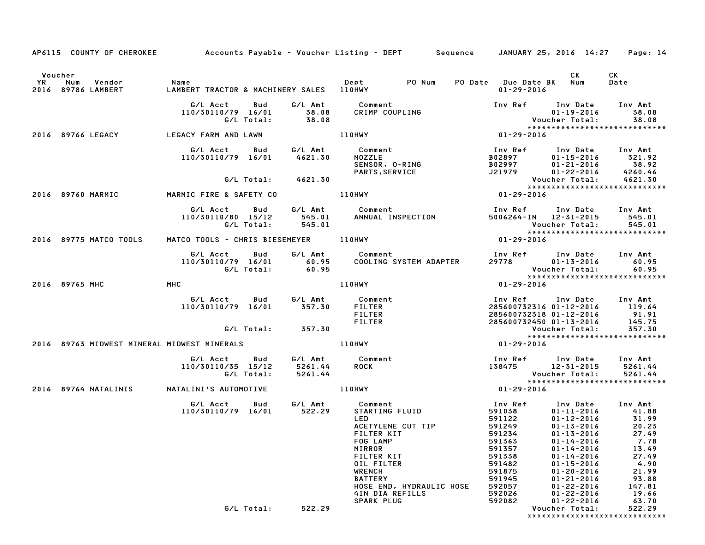|           |                   |                              |                                                  |                   |                               | AP6115 COUNTY OF CHEROKEE Accounts Payable - Voucher Listing - DEPT Sequence JANUARY 25, 2016 14:27 Page: 14                                                                                                   |                                                                                                                                 |                                                                                                                                                                                                                                                                |                                                                                                           |
|-----------|-------------------|------------------------------|--------------------------------------------------|-------------------|-------------------------------|----------------------------------------------------------------------------------------------------------------------------------------------------------------------------------------------------------------|---------------------------------------------------------------------------------------------------------------------------------|----------------------------------------------------------------------------------------------------------------------------------------------------------------------------------------------------------------------------------------------------------------|-----------------------------------------------------------------------------------------------------------|
|           | Voucher           |                              |                                                  |                   |                               |                                                                                                                                                                                                                |                                                                                                                                 | CK.                                                                                                                                                                                                                                                            | CK                                                                                                        |
| <b>YR</b> | Num               | Vendor<br>2016 89786 LAMBERT | Name<br>LAMBERT TRACTOR & MACHINERY SALES 110HWY |                   |                               | Dept PO Num                                                                                                                                                                                                    | PO Date Due Date BK Num<br>$01 - 29 - 2016$                                                                                     |                                                                                                                                                                                                                                                                | Date                                                                                                      |
|           |                   |                              | G/L Acct<br>110/30110/79 16/01                   | Bud<br>G/L Total: | G/L Amt<br>38.08<br>38.08     | Comment<br>CRIMP COUPLING                                                                                                                                                                                      | Inv Ref Inv Date                                                                                                                | $01 - 19 - 2016$<br>Voucher Total:                                                                                                                                                                                                                             | Inv Amt<br>38.08<br>38.08                                                                                 |
|           |                   | 2016 89766 LEGACY            | LEGACY FARM AND LAWN                             |                   |                               | 110HWY                                                                                                                                                                                                         | 01-29-2016                                                                                                                      |                                                                                                                                                                                                                                                                | *****************************                                                                             |
|           |                   |                              | G/L Acct<br>110/30110/79 16/01                   | Bud               | G/L Amt<br>4621.30            | Comment<br><b>NOZZLE</b><br>SENSOR, O-RING<br>PARTS, SERVICE                                                                                                                                                   | Inv Ref<br>B02897<br>B02997<br>J21979                                                                                           | Inv Date<br>$01 - 15 - 2016$<br>01-21-2016<br>$01 - 22 - 2016$                                                                                                                                                                                                 | Inv Amt<br>321.92<br>38.92<br>4260.46                                                                     |
|           |                   |                              |                                                  | G/L Total:        | 4621.30                       |                                                                                                                                                                                                                |                                                                                                                                 | Voucher Total:                                                                                                                                                                                                                                                 | 4621.30                                                                                                   |
|           | 2016 89760 MARMIC |                              | MARMIC FIRE & SAFETY CO                          |                   |                               | 110HWY                                                                                                                                                                                                         | 01-29-2016                                                                                                                      |                                                                                                                                                                                                                                                                | *****************************                                                                             |
|           |                   |                              | G/L Acct<br>110/30110/80 15/12                   | Bud<br>G/L Total: | 545.01<br>545.01              | G/L Amt Comment<br>ANNUAL INSPECTION                                                                                                                                                                           | Inv Ref<br>5006264-IN 12-31-2015                                                                                                | Inv Date<br>Voucher Total:                                                                                                                                                                                                                                     | Inv Amt<br>545.01<br>545.01                                                                               |
|           |                   | 2016 89775 MATCO TOOLS       | MATCO TOOLS - CHRIS BIESEMEYER 110HWY            |                   |                               |                                                                                                                                                                                                                | 01-29-2016                                                                                                                      |                                                                                                                                                                                                                                                                | *****************************                                                                             |
|           |                   |                              | G/L Acct<br>110/30110/79 16/01                   | Bud<br>G/L Total: | G/L Amt<br>60.95<br>60.95     | Comment<br>COOLING SYSTEM ADAPTER                                                                                                                                                                              | Inv Ref Inv Date<br>29778                                                                                                       | $01 - 13 - 2016$<br>Voucher Total:                                                                                                                                                                                                                             | Inv Amt<br>60.95<br>60.95<br>******************************                                               |
|           | 2016 89765 MHC    |                              | MHC                                              |                   |                               | 110HWY                                                                                                                                                                                                         | $01 - 29 - 2016$                                                                                                                |                                                                                                                                                                                                                                                                |                                                                                                           |
|           |                   |                              | G/L Acct<br>110/30110/79 16/01                   | Bud               | G/L Amt<br>357.30             | Comment<br><b>FILTER</b><br><b>FILTER</b><br><b>FILTER</b>                                                                                                                                                     | Inv Ref<br>285600732316 01-12-2016<br>285600732318 01-12-2016<br>285600732450 01-13-2016                                        | Inv Date                                                                                                                                                                                                                                                       | Inv Amt<br>119.64<br>91.91<br>145.75                                                                      |
|           |                   |                              |                                                  | G/L Total:        | 357.30                        |                                                                                                                                                                                                                |                                                                                                                                 | Voucher Total:                                                                                                                                                                                                                                                 | 357.30                                                                                                    |
|           |                   |                              | 2016 89763 MIDWEST MINERAL MIDWEST MINERALS      |                   |                               | 110HWY                                                                                                                                                                                                         | 01-29-2016                                                                                                                      |                                                                                                                                                                                                                                                                | *****************************                                                                             |
|           |                   |                              | G/L Acct<br>110/30110/35 15/12                   | Bud<br>G/L Total: | G/L Amt<br>5261.44<br>5261.44 | Comment<br><b>ROCK</b>                                                                                                                                                                                         | Inv Ref Inv Date<br>138475 12-31-2015                                                                                           | Voucher Total:                                                                                                                                                                                                                                                 | Inv Amt<br>5261.44<br>5261.44                                                                             |
|           |                   | 2016 89764 NATALINIS         | NATALINI'S AUTOMOTIVE                            |                   |                               | 110HWY                                                                                                                                                                                                         | 01-29-2016                                                                                                                      |                                                                                                                                                                                                                                                                | *****************************                                                                             |
|           |                   |                              | G/L Acct<br>110/30110/79 16/01                   | Bud               | G/L Amt<br>522.29             | Comment<br>STARTING FLUID<br>LED<br>ACETYLENE CUT TIP<br>FILTER KIT<br>FOG LAMP<br>MIRROR<br><b>FILTER KIT</b><br>OIL FILTER<br><b>WRENCH</b><br><b>BATTERY</b><br>HOSE END, HYDRAULIC HOSE<br>4IN DIA REFILLS | Inv Ref<br>591038<br>591122<br>591249<br>591234<br>591363<br>591357<br>591338<br>591482<br>591875<br>591945<br>592057<br>592026 | Inv Date<br>$01 - 11 - 2016$<br>$01 - 12 - 2016$<br>$01 - 13 - 2016$<br>$01 - 13 - 2016$ 27.49<br>$01 - 14 - 2016$<br>$01 - 14 - 2016$<br>$01 - 14 - 2016$<br>$01 - 15 - 2016$<br>$01 - 20 - 2016$<br>$01 - 21 - 2016$<br>$01 - 22 - 2016$<br>$01 - 22 - 2016$ | Inv Amt<br>41.88<br>31.99<br>20.23<br>7.78<br>13.49<br>27.49<br>4.90<br>21.99<br>93.88<br>147.81<br>19.66 |
|           |                   |                              |                                                  |                   |                               | SPARK PLUG                                                                                                                                                                                                     | 592082                                                                                                                          | $01 - 22 - 2016$                                                                                                                                                                                                                                               | 63.70                                                                                                     |
|           |                   |                              |                                                  | G/L Total:        | 522.29                        |                                                                                                                                                                                                                |                                                                                                                                 | Voucher Total:                                                                                                                                                                                                                                                 | 522.29<br>*****************************                                                                   |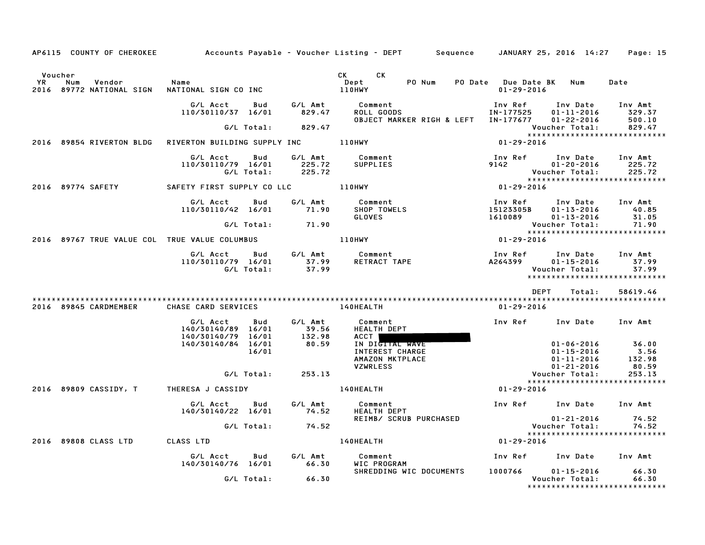|                                               |                                                                                               |                   | AP6115 COUNTY OF CHEROKEE Accounts Payable – Voucher Listing – DEPT Sequence JANUARY 25, 2016 14:27 Page: 15 |                                                                            |                                          |
|-----------------------------------------------|-----------------------------------------------------------------------------------------------|-------------------|--------------------------------------------------------------------------------------------------------------|----------------------------------------------------------------------------|------------------------------------------|
| Voucher<br><b>YR</b><br>Num<br>Vendor         | Name                                                                                          |                   | CK CK<br>Dept                                                                                                | PO Num PO Date Due Date BK Num                                             | Date                                     |
| 2016 89772 NATIONAL SIGN WATIONAL SIGN CO INC |                                                                                               |                   | 110HWY                                                                                                       | $01 - 29 - 2016$                                                           |                                          |
|                                               | Bud<br>G/L Acct<br>110/30110/37 16/01                                                         | 829.47            | G/L Amt Comment<br>ROLL GOODS<br>OBJECT MARKER RIGH & LEFT IN-177677                                         | Inv Ref<br>IN-177525<br>01-11-2016<br>01-22-2016                           | Inv Date Inv Amt<br>329.37<br>500.10     |
|                                               |                                                                                               | G/L Total: 829.47 |                                                                                                              | Voucher Total:                                                             | 829.47                                   |
|                                               |                                                                                               |                   |                                                                                                              | $01 - 29 - 2016$                                                           |                                          |
|                                               | G/L Acct Bud<br>110/30110/79 16/01 225.72<br>G/L Total:                                       | 225.72            | G/L Amt Comment<br>SUPPLIES                                                                                  | Inv Ref<br>Inv Date<br>9142<br>01-20-2016<br>Voucher Total:                | Inv Amt<br>225.72<br>225.72              |
| 2016 89774 SAFETY                             |                                                                                               |                   |                                                                                                              | <b>VOUCNer roigi.</b><br>*****************************<br>$01 - 29 - 2016$ |                                          |
|                                               | G/L Acct<br>Bud<br>110/30110/42 16/01                                                         | G/L Amt<br>71.90  | Comment<br>SHOP TOWELS<br>CLOVES<br><b>GLOVES</b>                                                            | Inv Ref<br>15123305B<br>01-13-2016<br>1610089<br>01-13-2016                | Inv Date Inv Amt<br>40.85<br>31.05       |
|                                               | G/L Total:                                                                                    | 71.90             |                                                                                                              | Voucher Total:                                                             | 71.90                                    |
| 2016 89767 TRUE VALUE COL TRUE VALUE COLUMBUS |                                                                                               |                   | 110HWY                                                                                                       | $01 - 29 - 2016$                                                           |                                          |
|                                               | G/L Acct      Bud      G/L Amt        Comment<br>110/30110/79 16/01 37.99<br>G/L Total: 37.99 |                   | Comment נחני בו בית הברית בא<br>RETRACT TAPE וRETRACT A264399                                                | Inv Ref<br>Inv Date<br>01-15-2016<br>Voucher Total:                        | Inv Amt<br>37.99<br>37.99                |
|                                               |                                                                                               |                   |                                                                                                              | DEPT<br>Total:                                                             | 58619.46                                 |
| 2016 89845 CARDMEMBER                         | CHASE CARD SERVICES                                                                           |                   | 140HEALTH                                                                                                    | 01-29-2016                                                                 |                                          |
|                                               | G/L Acct<br>Bud<br>140/30140/89 16/01<br>140/30140/79 16/01                                   | G/L Amt<br>39.56  | Comment<br><b>HEALTH DEPT</b><br>ACCT                                                                        | Inv Ref Inv Date Inv Amt                                                   |                                          |
|                                               | 140/30140/84 16/01<br>16/01                                                                   | $132.98$<br>80.59 | IN DIGITAL WAVE<br>INTEREST CHARGE<br>AMAZON MKTPLACE                                                        | $01 - 15 - 2016$<br>01-11-2016                                             | $01 - 06 - 2016$ 36.00<br>3.56<br>132.98 |
|                                               | G/L Total: 253.13                                                                             |                   | <b>VZWRLESS</b>                                                                                              | 01-21-2016<br>Voucher Total:                                               | 80.59<br>253.13                          |
|                                               |                                                                                               |                   | 2016 89809 CASSIDY, T THERESA J CASSIDY THERESAL STATES AND MALL THERESAL STATES ISSUED AND THERESAL         | *****************************<br>01-29-2016                                |                                          |
|                                               | G/L Acct Bud<br>140/30140/22 16/01 74.52                                                      | G/L Amt           | Comment<br><b>HEALTH DEPT</b>                                                                                | Inv Ref Inv Date Inv Amt                                                   |                                          |
|                                               | G/L Total: 74.52                                                                              |                   | REIMB/ SCRUB PURCHASED                                                                                       | $01 - 21 - 2016$<br>01-21-2016<br>:Voucher Total                           | 74.52<br>74.52                           |
|                                               |                                                                                               |                   |                                                                                                              |                                                                            |                                          |
| 2016 89808 CLASS LTD CLASS LTD                |                                                                                               |                   | <b>140HEALTH</b>                                                                                             | $01 - 29 - 2016$                                                           |                                          |
|                                               | <b>Bud</b><br>G/L Acct<br>140/30140/76 16/01 66.30 WIC PROGRAM                                |                   | G/L Amt Comment                                                                                              | Inv Ref     Inv Date    Inv Amt                                            |                                          |
|                                               | G/L Total:                                                                                    | 66.30             | SHREDDING WIC DOCUMENTS 1000766 01-15-2016                                                                   | Voucher Total:<br>*****************************                            | 66.30<br>66.30                           |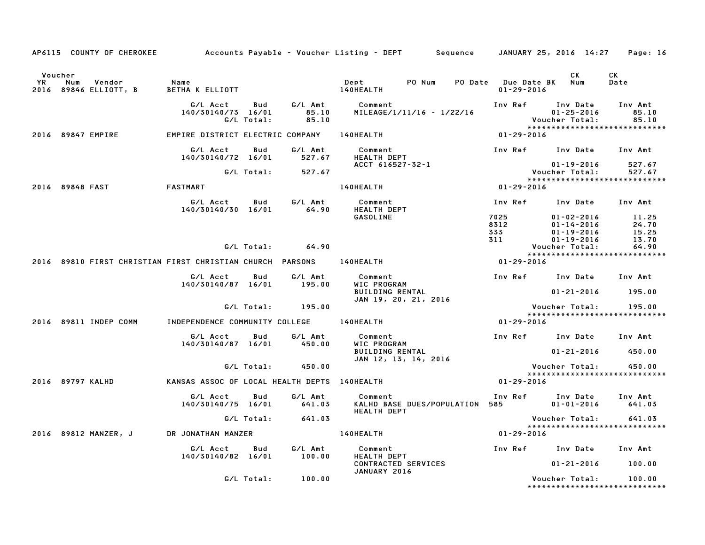|                |                  | AP6115 COUNTY OF CHEROKEE       |                                                           |                   |                           | Accounts Payable – Voucher Listing – DEPT        Sequence                |                                         | JANUARY 25, 2016 14:27                                                          | Page: 16                         |
|----------------|------------------|---------------------------------|-----------------------------------------------------------|-------------------|---------------------------|--------------------------------------------------------------------------|-----------------------------------------|---------------------------------------------------------------------------------|----------------------------------|
| Voucher<br>YR. | Num              | Vendor<br>2016 89846 ELLIOTT, B | Name<br>BETHA K ELLIOTT                                   |                   |                           | PO Num<br>Dept<br>140HEALTH                                              | PO Date Due Date BK<br>$01 - 29 - 2016$ | СK<br>Num                                                                       | CK<br>Date                       |
|                |                  |                                 | G/L Acct<br>140/30140/73 16/01                            | Bud<br>G/L Total: | G/L Amt<br>85.10<br>85.10 | Comment<br>MILEAGE/1/11/16 - 1/22/16                                     | Inv Ref                                 | Inv Date<br>$01 - 25 - 2016$<br>Voucher Total:<br>***************************** | Inv Amt<br>85.10<br>85.10        |
|                |                  | 2016 89847 EMPIRE               | EMPIRE DISTRICT ELECTRIC COMPANY                          |                   |                           | 140HEALTH                                                                | 01-29-2016                              |                                                                                 |                                  |
|                |                  |                                 | G/L Acct<br>140/30140/72 16/01                            | Bud               | G/L Amt<br>527.67         | Comment<br><b>HEALTH DEPT</b>                                            |                                         | Inv Ref Inv Date Inv Amt                                                        |                                  |
|                |                  |                                 |                                                           | G/L Total:        | 527.67                    | ACCT 616527-32-1                                                         |                                         | $01 - 19 - 2016$<br>Voucher Total:                                              | 527.67<br>527.67                 |
|                | 2016 89848 FAST  |                                 | <b>FASTMART</b>                                           |                   |                           | 140HEALTH                                                                | $01 - 29 - 2016$                        |                                                                                 |                                  |
|                |                  |                                 | G/L Acct<br>140/30140/30 16/01                            | Bud               | G/L Amt<br>64.90          | Comment<br><b>HEALTH DEPT</b>                                            | Inv Ref                                 | Inv Date                                                                        | Inv Amt                          |
|                |                  |                                 |                                                           |                   |                           | GASOLINE                                                                 | 7025<br>8312<br>333<br>311              | $01 - 02 - 2016$<br>$01 - 14 - 2016$<br>01-19-2016<br>$01 - 19 - 2016$          | 11.25<br>24.70<br>15.25<br>13.70 |
|                |                  |                                 |                                                           | G/L Total:        | 64.90                     |                                                                          |                                         | Voucher Total:                                                                  | 64.90                            |
|                |                  |                                 | 2016 89810 FIRST CHRISTIAN FIRST CHRISTIAN CHURCH PARSONS |                   |                           | 140HEALTH                                                                | 01-29-2016                              | *****************************                                                   |                                  |
|                |                  |                                 | G/L Acct<br>140/30140/87 16/01                            | Bud               | G/L Amt<br>195.00         | Comment<br>WIC PROGRAM<br><b>BUILDING RENTAL</b><br>JAN 19, 20, 21, 2016 |                                         | Inv Ref Inv Date<br>$01 - 21 - 2016$                                            | Inv Amt<br>195.00                |
|                |                  |                                 |                                                           | G/L Total:        | 195.00                    |                                                                          |                                         | Voucher Total:<br>*****************************                                 | 195.00                           |
|                |                  | 2016 89811 INDEP COMM           | INDEPENDENCE COMMUNITY COLLEGE                            |                   |                           | 140HEALTH                                                                | $01 - 29 - 2016$                        |                                                                                 |                                  |
|                |                  |                                 | G/L Acct<br>140/30140/87 16/01                            | Bud               | G/L Amt<br>450.00         | Comment<br>WIC PROGRAM                                                   |                                         | Inv Ref Inv Date                                                                | Inv Amt                          |
|                |                  |                                 |                                                           |                   |                           | <b>BUILDING RENTAL</b><br>JAN 12, 13, 14, 2016                           |                                         | $01 - 21 - 2016$                                                                | 450.00                           |
|                |                  |                                 |                                                           | G/L Total:        | 450.00                    |                                                                          |                                         | Voucher Total:<br>*****************************                                 | 450.00                           |
|                | 2016 89797 KALHD |                                 | KANSAS ASSOC OF LOCAL HEALTH DEPTS 140HEALTH              |                   |                           |                                                                          | $01 - 29 - 2016$                        |                                                                                 |                                  |
|                |                  |                                 | G/L Acct<br>140/30140/75 16/01                            | Bud               | G/L Amt<br>641.03         | Comment<br>KALHD BASE DUES/POPULATION 585<br><b>HEALTH DEPT</b>          | Inv Ref                                 | Inv Date<br>$01 - 01 - 2016$                                                    | Inv Amt<br>641.03                |
|                |                  |                                 |                                                           | G/L Total:        | 641.03                    |                                                                          |                                         | Voucher Total:                                                                  | 641.03                           |
|                |                  | 2016 89812 MANZER, J            | DR JONATHAN MANZER                                        |                   |                           | <b>140HEALTH</b>                                                         | 01-29-2016                              | *****************************                                                   |                                  |
|                |                  |                                 | G/L Acct<br>140/30140/82 16/01                            | Bud               | G/L Amt<br>100.00         | Comment<br>HEALTH DEPT                                                   |                                         | Inv Ref Inv Date                                                                | Inv Amt                          |
|                |                  |                                 |                                                           |                   |                           | CONTRACTED SERVICES<br>JANUARY 2016                                      |                                         | $01 - 21 - 2016$                                                                | 100.00                           |
|                |                  |                                 |                                                           | G/L Total:        | 100.00                    |                                                                          |                                         | Voucher Total:<br>*******************************                               | 100.00                           |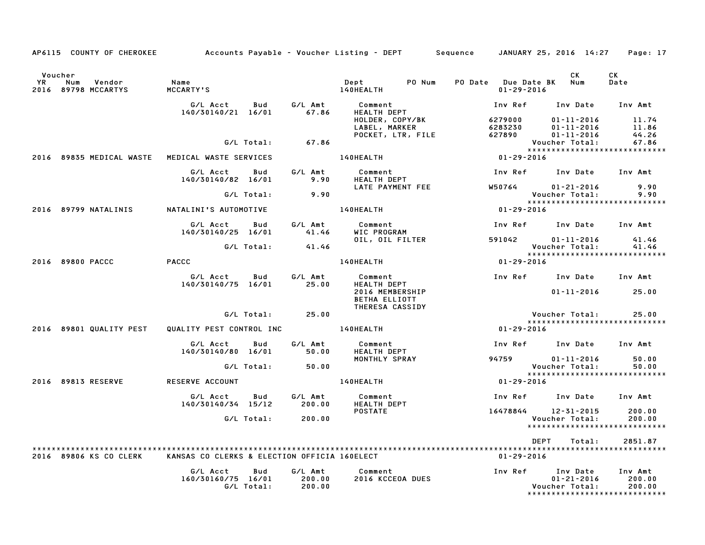| AP6115 COUNTY OF CHEROKEE                             |                                    |                      |                     | Accounts Payable – Voucher Listing – DEPT       Sequence     JANUARY 25, 2016 14:27 |                              |                                    |                                                    | Page: 17                                |
|-------------------------------------------------------|------------------------------------|----------------------|---------------------|-------------------------------------------------------------------------------------|------------------------------|------------------------------------|----------------------------------------------------|-----------------------------------------|
| Voucher<br>YR<br>Num<br>Vendor<br>2016 89798 MCCARTYS | Name<br>MCCARTY'S                  |                      |                     | Dept PONum<br>140HEALTH                                                             | PO Date Due Date BK Num      | $01 - 29 - 2016$                   | CK                                                 | CK<br>Date                              |
|                                                       | G/L Acct<br>140/30140/21 16/01     | Bud G/L Amt<br>67.86 |                     | Comment<br><b>HEALTH DEPT</b>                                                       |                              | Inv Ref      Inv Date     Inv Amt  |                                                    |                                         |
|                                                       |                                    |                      |                     | HOLDER, COPY/BK<br>LABEL, MARKER<br>POCKET, LTR, FILE                               | 6279000<br>6283230<br>627890 |                                    | $01 - 11 - 2016$<br>01-11-2016<br>$01 - 11 - 2016$ | 11.74<br>11.86<br>44.26                 |
|                                                       | G/L Total:                         |                      | 67.86               |                                                                                     |                              | Voucher Total:                     |                                                    | 67.86                                   |
| 2016 89835 MEDICAL WASTE                              | MEDICAL WASTE SERVICES             |                      |                     | 140HEALTH                                                                           | $01 - 29 - 2016$             |                                    |                                                    |                                         |
|                                                       | G/L Acct Bud<br>140/30140/82 16/01 |                      | G/L Amt<br>9.90     | Comment<br>HEALTH DEPT                                                              |                              | Inv Ref Inv Date Inv Amt           |                                                    |                                         |
|                                                       |                                    |                      |                     | LATE PAYMENT FEE                                                                    |                              | W50764                             | $01 - 21 - 2016$                                   | 9.90                                    |
|                                                       | G/L Total:                         |                      | 9.90                |                                                                                     |                              | Voucher Total:                     |                                                    | 9.90                                    |
| 2016 89799 NATALINIS                                  | NATALINI'S AUTOMOTIVE              |                      |                     | <b>140HEALTH</b>                                                                    |                              | $01 - 29 - 2016$                   |                                                    |                                         |
|                                                       | G/L Acct<br>140/30140/25 16/01     |                      | Bud G/LAmt<br>41.46 | Comment<br>WIC PROGRAM                                                              |                              | Inv Ref      Inv Date     Inv Amt  |                                                    |                                         |
|                                                       |                                    |                      | 41.46               | OIL, OIL FILTER                                                                     |                              | 591042 01-11-2016                  |                                                    | 41.46                                   |
|                                                       | G/L Total:                         |                      |                     |                                                                                     |                              | Voucher Total:                     |                                                    | 41.46<br>*****************************  |
| 2016 89800 PACCC                                      | <b>PACCC</b>                       |                      |                     | <b>140HEALTH</b>                                                                    |                              | $01 - 29 - 2016$                   |                                                    |                                         |
|                                                       | G/L Acct<br>140/30140/75 16/01     | Bud                  | G/L Amt<br>25.00    | Comment                            Inv Ref    Inv Date   Inv Amt<br>HEALTH DEPT     |                              |                                    |                                                    |                                         |
|                                                       |                                    |                      |                     | 2016 MEMBERSHIP<br>BETHA ELLIOTT                                                    |                              |                                    | $01 - 11 - 2016$                                   | 25.00                                   |
|                                                       |                                    | G/L Total:           | 25.00               | THERESA CASSIDY                                                                     |                              | Voucher Total:                     |                                                    | 25.00                                   |
|                                                       |                                    |                      |                     |                                                                                     |                              |                                    |                                                    | *****************************           |
| 2016 89801 QUALITY PEST                               | QUALITY PEST CONTROL INC           |                      |                     | <b>140HEALTH</b>                                                                    |                              | $01 - 29 - 2016$                   |                                                    |                                         |
|                                                       | G/L Acct<br>140/30140/80 16/01     | Bud                  | G/L Amt<br>50.00    | Comment<br><b>HEALTH DEPT</b>                                                       |                              | Inv Ref Inv Date Inv Amt           |                                                    |                                         |
|                                                       | G/L Total:                         |                      | 50.00               | MONTHLY SPRAY                                                                       |                              | 94759 01-11-2016<br>Voucher Total: |                                                    | 50.00<br>50.00                          |
|                                                       |                                    |                      |                     |                                                                                     |                              |                                    |                                                    | *****************************           |
| 2016 89813 RESERVE                                    | RESERVE ACCOUNT                    |                      |                     | 140HEALTH                                                                           |                              | $01 - 29 - 2016$                   |                                                    |                                         |
|                                                       | G/L Acct<br>140/30140/34 15/12     | Bud                  | G/L Amt<br>200.00   | Comment<br>HEALTH DEPT                                                              |                              | Inv Ref Inv Date                   |                                                    | Inv Amt                                 |
|                                                       |                                    |                      |                     | <b>POSTATE</b>                                                                      |                              | 16478844 12-31-2015                |                                                    | 200.00                                  |
|                                                       | G/L Total:                         |                      | 200.00              |                                                                                     |                              | Voucher Total:                     |                                                    | 200.00<br>***************************** |
|                                                       |                                    |                      |                     |                                                                                     |                              | DEPT                               | Total:                                             | 2851.87                                 |
| 2016 89806 KS CO CLERK                                |                                    |                      |                     | KANSAS CO CLERKS & ELECTION OFFICIA 160ELECT                                        |                              | 01-29-2016                         |                                                    |                                         |
|                                                       | G/L Acct                           | Bud                  | G/L Amt             | Comment                                                                             | Inv Ref                      |                                    | Inv Date                                           | Inv Amt                                 |
|                                                       | 160/30160/75 16/01                 |                      | 200.00              | 2016 KCCEOA DUES                                                                    |                              |                                    | $01 - 21 - 2016$                                   | 200.00                                  |
|                                                       | G/L Total:                         |                      | 200.00              |                                                                                     |                              | Voucher Total:                     |                                                    | 200.00<br>***************************** |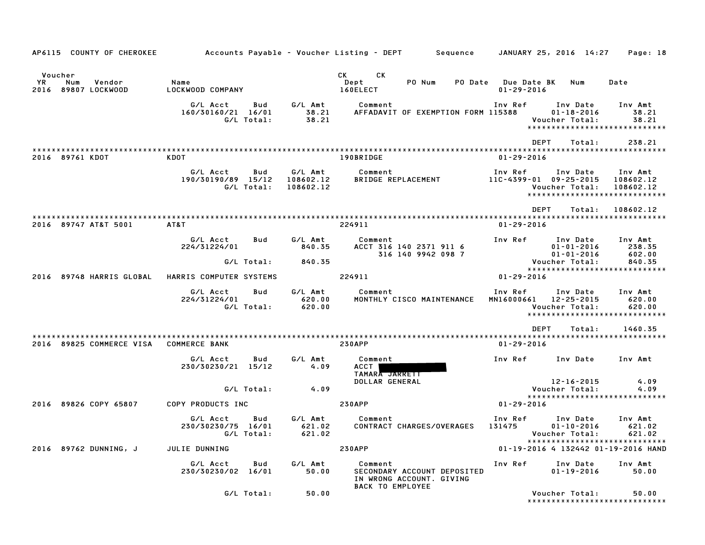| AP6115 COUNTY OF CHEROKEE                              |                                              |                   |                                   | Accounts Payable – Voucher Listing – DEPT         Sequence     JANUARY 25, 2016  14:27 |                                         |                                                                                         | Page: 18                          |
|--------------------------------------------------------|----------------------------------------------|-------------------|-----------------------------------|----------------------------------------------------------------------------------------|-----------------------------------------|-----------------------------------------------------------------------------------------|-----------------------------------|
| Voucher<br>YR.<br>Num<br>Vendor<br>2016 89807 LOCKWOOD | Name<br>LOCKWOOD COMPANY                     |                   |                                   | CK.<br>CK C<br>Dept<br>PO Num<br>160ELECT                                              | PO Date Due Date BK<br>$01 - 29 - 2016$ | Num                                                                                     | Date                              |
|                                                        | G/L Acct<br>160/30160/21 16/01               | Bud<br>G/L Total: | G/L Amt<br>38.21<br>38.21         | Comment<br>AFFADAVIT OF EXEMPTION FORM 115388                                          | Inv Ref                                 | Inv Date<br>$01 - 18 - 2016$<br>Voucher Total:<br>******************************        | Inv Amt<br>38.21<br>38.21         |
| 2016 89761 KDOT                                        | KDOT                                         |                   |                                   | 190BRIDGE                                                                              | $01 - 29 - 2016$                        | <b>DEPT</b><br>Total:                                                                   | 238.21                            |
|                                                        | G/L Acct<br>190/30190/89 15/12               | Bud<br>G/L Total: | G/L Amt<br>108602.12<br>108602.12 | Comment<br>BRIDGE REPLACEMENT                                                          | Inv Ref                                 | Inv Date<br>$11C-4399-01$ 09-25-2015<br>Voucher Total:<br>***************************** | Inv Amt<br>108602.12<br>108602.12 |
| 2016 89747 AT&T 5001                                   | AT&T                                         |                   |                                   | 224911                                                                                 | $01 - 29 - 2016$                        | <b>DEPT</b><br>Total:                                                                   | 108602.12                         |
|                                                        | G/L Acct<br>224/31224/01                     | Bud               | G/L Amt<br>840.35                 | Comment<br>ACCT 316 140 2371 911 6<br>316 140 9942 098 7                               | Inv Ref                                 | Inv Date<br>$01 - 01 - 2016$<br>$01 - 01 - 2016$                                        | Inv Amt<br>238.35<br>602.00       |
| 2016 89748 HARRIS GLOBAL                               | HARRIS COMPUTER SYSTEMS                      | G/L Total:        | 840.35                            | 224911                                                                                 | $01 - 29 - 2016$                        | Voucher Total:<br>******************************                                        | 840.35                            |
|                                                        | G/L Acct<br>224/31224/01                     | Bud<br>G/L Total: | G/L Amt<br>620.00<br>620.00       | Comment<br>MONTHLY CISCO MAINTENANCE                                                   | Inv Ref                                 | Inv Date<br>MN16000661 12-25-2015<br>Voucher Total:<br>*****************************    | Inv Amt<br>620.00<br>620.00       |
| 2016 89825 COMMERCE VISA COMMERCE BANK                 |                                              |                   |                                   | <b>230APP</b>                                                                          | $01 - 29 - 2016$                        | DEPT<br>Total:                                                                          | 1460.35                           |
|                                                        |                                              |                   |                                   |                                                                                        |                                         |                                                                                         |                                   |
|                                                        | G/L Acct<br>230/30230/21 15/12               | Bud               | G/L Amt<br>4.09                   | Comment<br>ACCT                                                                        | Inv Ref                                 | Inv Date                                                                                | Inv Amt                           |
|                                                        |                                              | G/L Total:        | 4.09                              | TAMARA JARRETT<br>DOLLAR GENERAL                                                       |                                         | 12-16-2015<br>Voucher Total:<br>*****************************                           | 4.09<br>4.09                      |
| 2016 89826 COPY 65807                                  | COPY PRODUCTS INC                            |                   |                                   | <b>230APP</b>                                                                          | $01 - 29 - 2016$                        |                                                                                         |                                   |
|                                                        | G/L Acct<br>230/30230/75 16/01<br>G/L Total: | Bud               | G/L Amt<br>621.02<br>621.02       | Comment<br>CONTRACT CHARGES/OVERAGES                                                   | Inv Ref<br>131475                       | Inv Date<br>$01 - 10 - 2016$<br>*****************************                           | Inv Amt<br>621.02                 |
| 2016 89762 DUNNING, J                                  | JULIE DUNNING                                |                   |                                   | <b>230APP</b>                                                                          |                                         | 01-19-2016 4 132442 01-19-2016 HAND                                                     |                                   |
|                                                        | G/L Acct<br>230/30230/02 16/01               | Bud               | G/L Amt<br>50.00                  | Comment<br>SECONDARY ACCOUNT DEPOSITED<br>IN WRONG ACCOUNT. GIVING<br>BACK TO EMPLOYEE | Inv Ref                                 | Inv Date<br>$01 - 19 - 2016$                                                            | Inv Amt<br>50.00                  |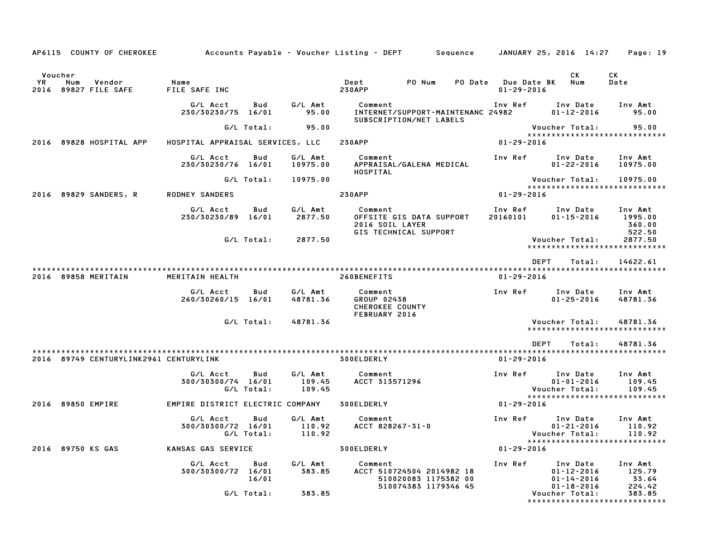| AP6115 COUNTY OF CHEROKEE                              |                                  |                   |                                        | Accounts Payable – Voucher Listing – DEPT         Sequence                      |                                              |                                        | JANUARY 25, 2016 14:27                                                                 | Page: 19                               |
|--------------------------------------------------------|----------------------------------|-------------------|----------------------------------------|---------------------------------------------------------------------------------|----------------------------------------------|----------------------------------------|----------------------------------------------------------------------------------------|----------------------------------------|
| Voucher<br>YR<br>Num<br>Vendor<br>2016 89827 FILE SAFE | Name<br>FILE SAFE INC            |                   |                                        | Dept<br><b>230APP</b>                                                           | PO Num<br><b>PO Date</b>                     | <b>Due Date BK</b><br>$01 - 29 - 2016$ | CK<br>Num                                                                              | СK<br>Date                             |
|                                                        | G/L Acct<br>230/30230/75 16/01   | Bud               | G/L Amt<br>95.00                       | Comment<br>SUBSCRIPTION/NET LABELS                                              | INTERNET/SUPPORT-MAINTENANC 24982            | Inv Ref                                | Inv Date<br>$01 - 12 - 2016$                                                           | Inv Amt<br>95.00                       |
|                                                        |                                  | G/L Total:        | 95.00                                  |                                                                                 |                                              |                                        | Voucher Total:                                                                         | 95.00                                  |
| 2016 89828 HOSPITAL APP                                | HOSPITAL APPRAISAL SERVICES, LLC |                   |                                        | <b>230APP</b>                                                                   |                                              | $01 - 29 - 2016$                       | *****************************                                                          |                                        |
|                                                        | G/L Acct<br>230/30230/76 16/01   | Bud               | G/L Amt<br>10975.00                    | Comment<br>APPRAISAL/GALENA MEDICAL<br>HOSPITAL                                 |                                              | Inv Ref                                | Inv Date<br>$01 - 22 - 2016$                                                           | Inv Amt<br>10975.00                    |
|                                                        |                                  | G/L Total:        | 10975.00                               |                                                                                 |                                              |                                        | Voucher Total:                                                                         | 10975.00                               |
| 2016 89829 SANDERS, R                                  | <b>RODNEY SANDERS</b>            |                   |                                        | <b>230APP</b>                                                                   |                                              | $01 - 29 - 2016$                       | *****************************                                                          |                                        |
|                                                        | G/L Acct<br>230/30230/89 16/01   | Bud               | G/L Amt<br>2877.50                     | Comment<br>OFFSITE GIS DATA SUPPORT<br>2016 SOIL LAYER<br>GIS TECHNICAL SUPPORT |                                              | Inv Ref<br>20160101                    | Inv Date<br>$01 - 15 - 2016$                                                           | Inv Amt<br>1995.00<br>360.00<br>522.50 |
|                                                        |                                  | G/L Total:        | 2877.50                                |                                                                                 |                                              |                                        | Voucher Total:<br>*****************************                                        | 2877.50                                |
|                                                        |                                  |                   |                                        |                                                                                 |                                              |                                        | <b>DEPT</b><br>Total:                                                                  | 14622.61                               |
| 2016 89858 MERITAIN                                    | MERITAIN HEALTH                  |                   |                                        | 260BENEFITS                                                                     |                                              | $01 - 29 - 2016$                       |                                                                                        |                                        |
|                                                        | G/L Acct<br>260/30260/15 16/01   | Bud               | G/L Amt<br>48781.36                    | Comment<br>GROUP 02438<br>CHEROKEE COUNTY<br>FEBRUARY 2016                      |                                              | Inv Ref                                | Inv Date<br>$01 - 25 - 2016$                                                           | Inv Amt<br>48781.36                    |
|                                                        |                                  | G/L Total:        | 48781.36                               |                                                                                 |                                              |                                        | Voucher Total:<br>*****************************                                        | 48781.36                               |
|                                                        |                                  |                   |                                        |                                                                                 |                                              |                                        | <b>DEPT</b><br>Total:                                                                  | 48781.36                               |
| 2016 89749 CENTURYLINK2961 CENTURYLINK                 |                                  |                   |                                        | 300ELDERLY                                                                      |                                              | $01 - 29 - 2016$                       |                                                                                        |                                        |
|                                                        | G/L Acct<br>300/30300/74 16/01   | Bud<br>G/L Total: | G/L Amt<br>109.45<br>109.45            | Comment<br>ACCT 313571296                                                       |                                              | Inv Ref                                | Inv Date<br>$01 - 01 - 2016$<br>Voucher Total:                                         | Inv Amt<br>109.45<br>109.45            |
| 2016 89850 EMPIRE                                      | EMPIRE DISTRICT ELECTRIC COMPANY |                   |                                        | 300ELDERLY                                                                      |                                              | 01-29-2016                             | *****************************                                                          |                                        |
|                                                        | G/L Acct<br>300/30300/72 16/01   | Bud               | G/L Amt<br>110.92<br>G/L Total: 110.92 | Comment<br>ACCT 828267-31-0                                                     |                                              | Inv Ref                                | Inv Date<br>$01 - 21 - 2016$<br>Voucher Total: 110.92<br>***************************** | Inv Amt<br>110.92                      |
| 2016 89750 KS GAS                                      | KANSAS GAS SERVICE               |                   |                                        | <b>300ELDERLY</b>                                                               |                                              | $01 - 29 - 2016$                       |                                                                                        |                                        |
|                                                        | G/L Acct<br>300/30300/72 16/01   | Bud<br>16/01      | G/L Amt<br>383.85                      | Comment<br>ACCT 510724504 2014982 18                                            | 510020083 1175382 00<br>510074383 1179346 45 | Inv Ref                                | Inv Date<br>$01 - 12 - 2016$<br>$01 - 14 - 2016$<br>$01 - 18 - 2016$                   | Inv Amt<br>125.79<br>33.64<br>224.42   |
|                                                        |                                  | G/L Total:        | 383.85                                 |                                                                                 |                                              |                                        | Voucher Total:<br>*****************************                                        | 383.85                                 |